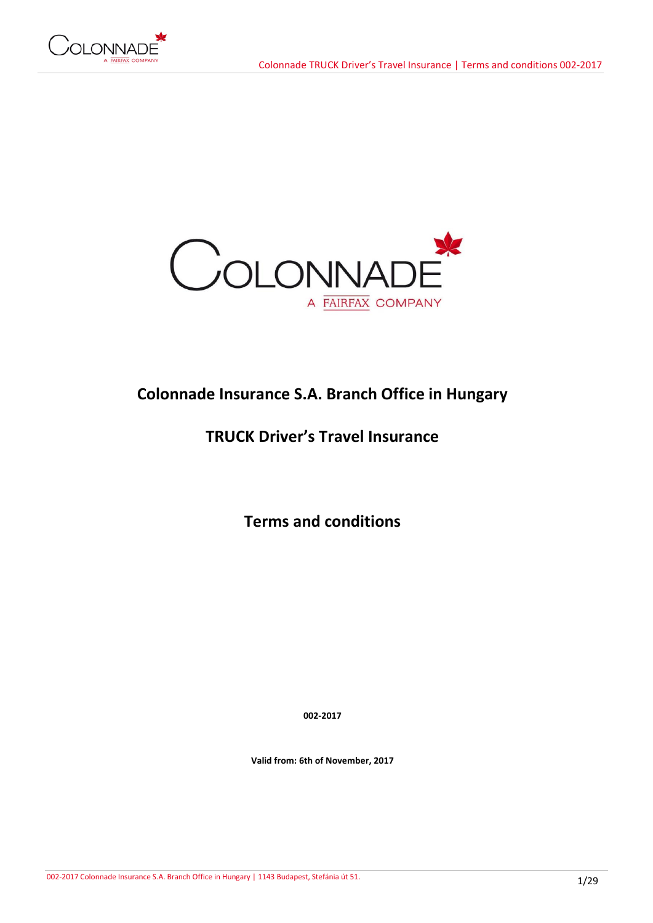



# **Colonnade Insurance S.A. Branch Office in Hungary**

# **TRUCK Driver's Travel Insurance**

**Terms and conditions**

**002-2017**

**Valid from: 6th of November, 2017**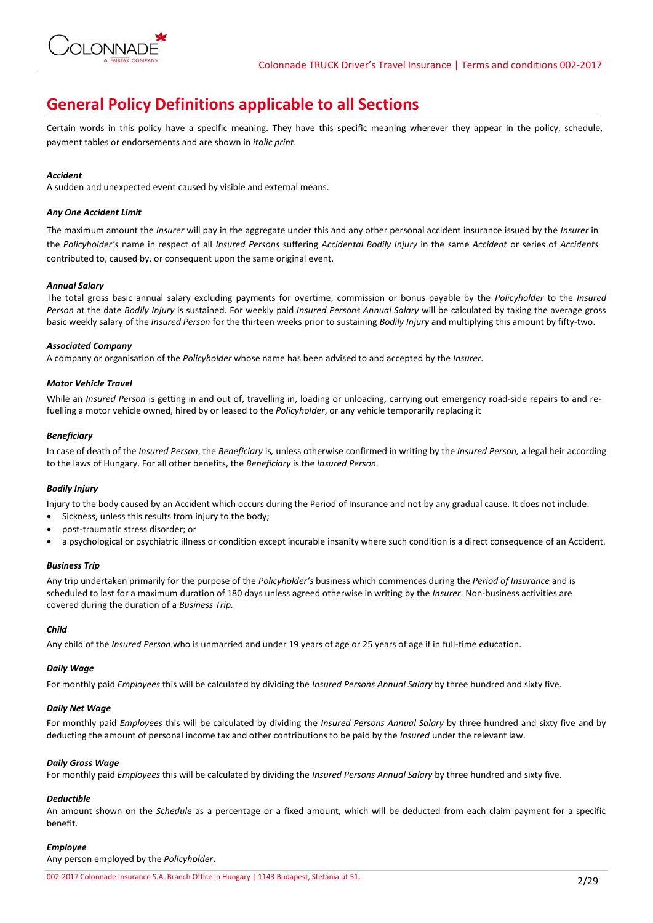

# **General Policy Definitions applicable to all Sections**

Certain words in this policy have a specific meaning. They have this specific meaning wherever they appear in the policy, schedule, payment tables or endorsements and are shown in *italic print*.

# *Accident*

A sudden and unexpected event caused by visible and external means.

# *Any One Accident Limit*

The maximum amount the *Insurer* will pay in the aggregate under this and any other personal accident insurance issued by the *Insurer* in the *Policyholder's* name in respect of all *Insured Persons* suffering *Accidental Bodily Injury* in the same *Accident* or series of *Accidents*  contributed to, caused by, or consequent upon the same original event.

# *Annual Salary*

The total gross basic annual salary excluding payments for overtime, commission or bonus payable by the *Policyholder* to the *Insured Person* at the date *Bodily Injury* is sustained. For weekly paid *Insured Persons Annual Salary* will be calculated by taking the average gross basic weekly salary of the *Insured Person* for the thirteen weeks prior to sustaining *Bodily Injury* and multiplying this amount by fifty-two.

## *Associated Company*

A company or organisation of the *Policyholder* whose name has been advised to and accepted by the *Insurer.*

## *Motor Vehicle Travel*

While an *Insured Person* is getting in and out of, travelling in, loading or unloading, carrying out emergency road-side repairs to and refuelling a motor vehicle owned, hired by or leased to the *Policyholder*, or any vehicle temporarily replacing it

## *Beneficiary*

In case of death of the *Insured Person*, the *Beneficiary* is*,* unless otherwise confirmed in writing by the *Insured Person,* a legal heir according to the laws of Hungary. For all other benefits, the *Beneficiary* is the *Insured Person.*

# *Bodily Injury*

Injury to the body caused by an Accident which occurs during the Period of Insurance and not by any gradual cause. It does not include:

- Sickness, unless this results from injury to the body;
- post-traumatic stress disorder; or
- a psychological or psychiatric illness or condition except incurable insanity where such condition is a direct consequence of an Accident.

#### *Business Trip*

Any trip undertaken primarily for the purpose of the *Policyholder's* business which commences during the *Period of Insurance* and is scheduled to last for a maximum duration of 180 days unless agreed otherwise in writing by the *Insurer*. Non-business activities are covered during the duration of a *Business Trip.*

#### *Child*

Any child of the *Insured Person* who is unmarried and under 19 years of age or 25 years of age if in full-time education.

#### *Daily Wage*

For monthly paid *Employees* this will be calculated by dividing the *Insured Persons Annual Salary* by three hundred and sixty five.

# *Daily Net Wage*

For monthly paid *Employees* this will be calculated by dividing the *Insured Persons Annual Salary* by three hundred and sixty five and by deducting the amount of personal income tax and other contributions to be paid by the *Insured* under the relevant law.

#### *Daily Gross Wage*

For monthly paid *Employees* this will be calculated by dividing the *Insured Persons Annual Salary* by three hundred and sixty five.

# *Deductible*

An amount shown on the *Schedule* as a percentage or a fixed amount, which will be deducted from each claim payment for a specific benefit*.*

# *Employee*

Any person employed by the *Policyholder***.**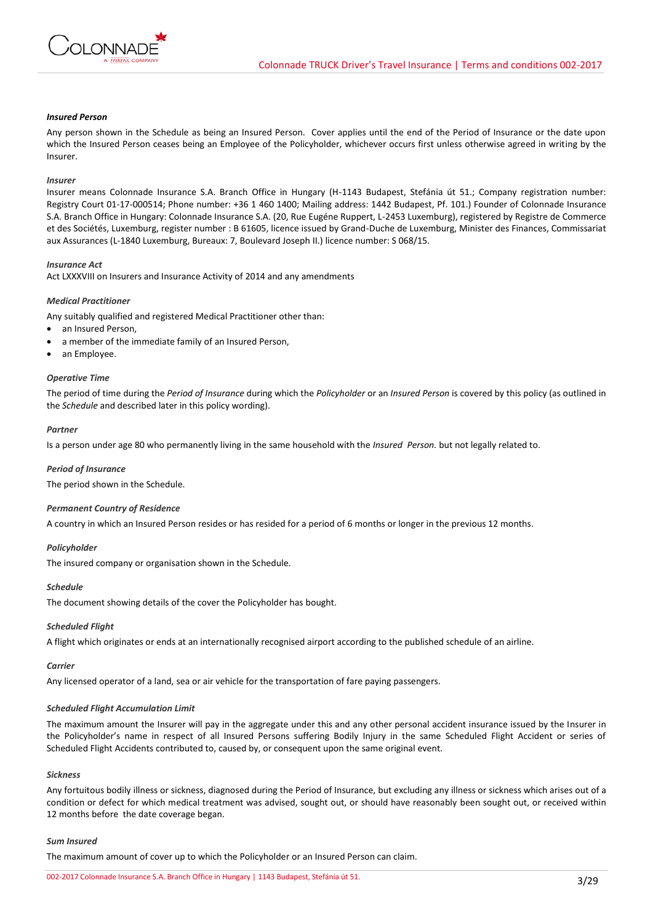

# *Insured Person*

Any person shown in the Schedule as being an Insured Person. Cover applies until the end of the Period of Insurance or the date upon which the Insured Person ceases being an Employee of the Policyholder, whichever occurs first unless otherwise agreed in writing by the Insurer.

#### *Insurer*

Insurer means Colonnade Insurance S.A. Branch Office in Hungary (H-1143 Budapest, Stefánia út 51.; Company registration number: Registry Court 01-17-000514; Phone number: +36 1 460 1400; Mailing address: 1442 Budapest, Pf. 101.) Founder of Colonnade Insurance S.A. Branch Office in Hungary: Colonnade Insurance S.A. (20, Rue Eugéne Ruppert, L-2453 Luxemburg), registered by Registre de Commerce et des Sociétés, Luxemburg, register number : B 61605, licence issued by Grand-Duche de Luxemburg, Minister des Finances, Commissariat aux Assurances (L-1840 Luxemburg, Bureaux: 7, Boulevard Joseph II.) licence number: S 068/15.

#### *Insurance Act*

Act LXXXVIII on Insurers and Insurance Activity of 2014 and any amendments

#### *Medical Practitioner*

Any suitably qualified and registered Medical Practitioner other than:

- an Insured Person,
- a member of the immediate family of an Insured Person,
- an Employee.

# *Operative Time*

The period of time during the *Period of Insurance* during which the *Policyholder* or an *Insured Person* is covered by this policy (as outlined in the *Schedule* and described later in this policy wording).

#### *Partner*

Is a person under age 80 who permanently living in the same household with the *Insured Person.* but not legally related to.

#### *Period of Insurance*

The period shown in the Schedule.

#### *Permanent Country of Residence*

A country in which an Insured Person resides or has resided for a period of 6 months or longer in the previous 12 months.

#### *Policyholder*

The insured company or organisation shown in the Schedule.

#### *Schedule*

The document showing details of the cover the Policyholder has bought.

#### *Scheduled Flight*

A flight which originates or ends at an internationally recognised airport according to the published schedule of an airline.

## *Carrier*

Any licensed operator of a land, sea or air vehicle for the transportation of fare paying passengers.

#### *Scheduled Flight Accumulation Limit*

The maximum amount the Insurer will pay in the aggregate under this and any other personal accident insurance issued by the Insurer in the Policyholder's name in respect of all Insured Persons suffering Bodily Injury in the same Scheduled Flight Accident or series of Scheduled Flight Accidents contributed to, caused by, or consequent upon the same original event.

#### *Sickness*

Any fortuitous bodily illness or sickness, diagnosed during the Period of Insurance, but excluding any illness or sickness which arises out of a condition or defect for which medical treatment was advised, sought out, or should have reasonably been sought out, or received within 12 months before the date coverage began.

#### *Sum Insured*

The maximum amount of cover up to which the Policyholder or an Insured Person can claim.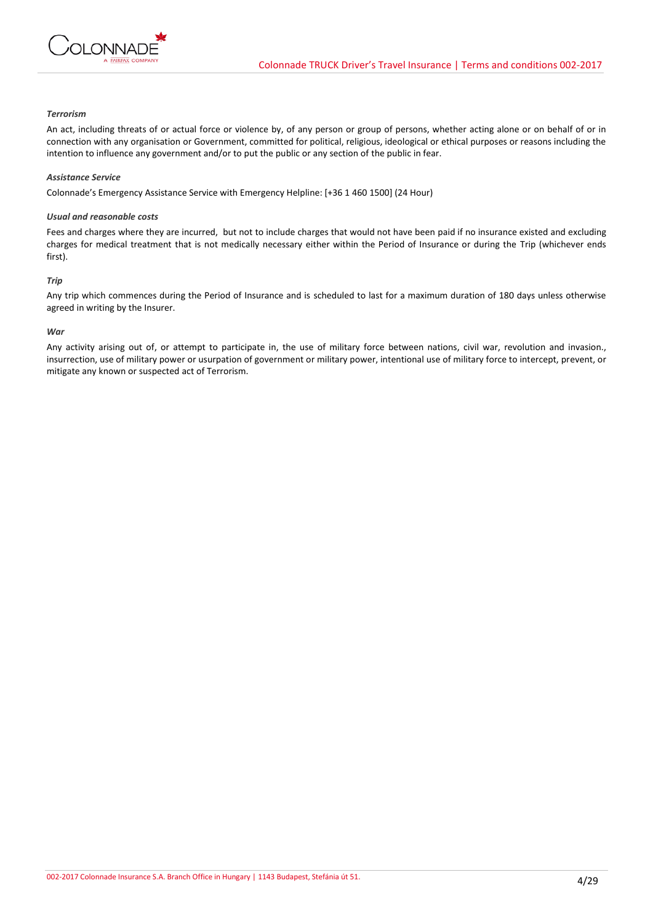

# *Terrorism*

An act, including threats of or actual force or violence by, of any person or group of persons, whether acting alone or on behalf of or in connection with any organisation or Government, committed for political, religious, ideological or ethical purposes or reasons including the intention to influence any government and/or to put the public or any section of the public in fear.

### *Assistance Service*

Colonnade's Emergency Assistance Service with Emergency Helpline: [+36 1 460 1500] (24 Hour)

## *Usual and reasonable costs*

Fees and charges where they are incurred, but not to include charges that would not have been paid if no insurance existed and excluding charges for medical treatment that is not medically necessary either within the Period of Insurance or during the Trip (whichever ends first).

## *Trip*

Any trip which commences during the Period of Insurance and is scheduled to last for a maximum duration of 180 days unless otherwise agreed in writing by the Insurer.

## *War*

Any activity arising out of, or attempt to participate in, the use of military force between nations, civil war, revolution and invasion., insurrection, use of military power or usurpation of government or military power, intentional use of military force to intercept, prevent, or mitigate any known or suspected act of Terrorism.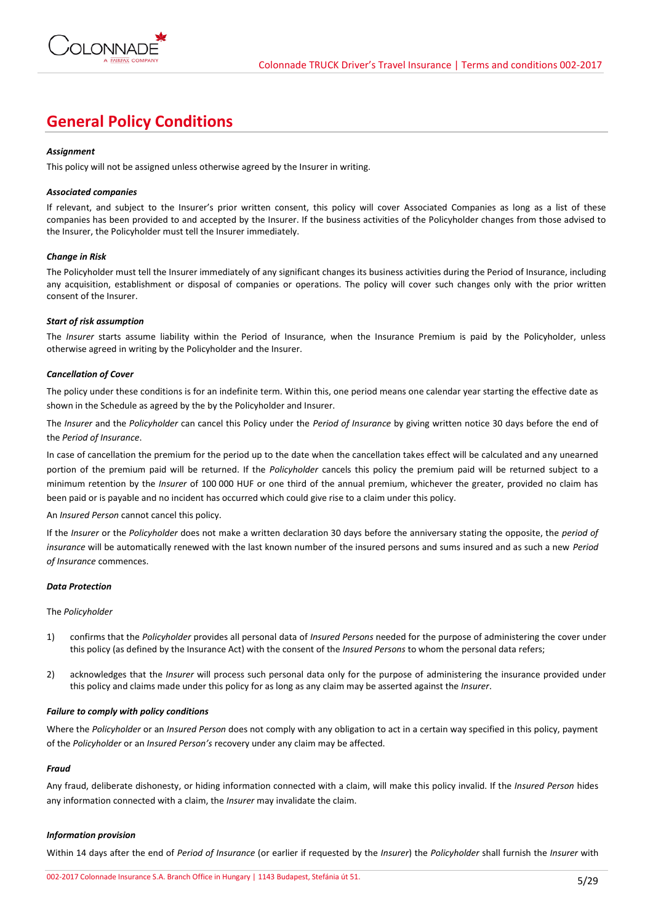

# **General Policy Conditions**

## *Assignment*

This policy will not be assigned unless otherwise agreed by the Insurer in writing.

## *Associated companies*

If relevant, and subject to the Insurer's prior written consent, this policy will cover Associated Companies as long as a list of these companies has been provided to and accepted by the Insurer. If the business activities of the Policyholder changes from those advised to the Insurer, the Policyholder must tell the Insurer immediately.

## *Change in Risk*

The Policyholder must tell the Insurer immediately of any significant changes its business activities during the Period of Insurance, including any acquisition, establishment or disposal of companies or operations. The policy will cover such changes only with the prior written consent of the Insurer.

## *Start of risk assumption*

The *Insurer* starts assume liability within the Period of Insurance, when the Insurance Premium is paid by the Policyholder, unless otherwise agreed in writing by the Policyholder and the Insurer.

## *Cancellation of Cover*

The policy under these conditions is for an indefinite term. Within this, one period means one calendar year starting the effective date as shown in the Schedule as agreed by the by the Policyholder and Insurer.

The *Insurer* and the *Policyholder* can cancel this Policy under the *Period of Insurance* by giving written notice 30 days before the end of the *Period of Insurance*.

In case of cancellation the premium for the period up to the date when the cancellation takes effect will be calculated and any unearned portion of the premium paid will be returned. If the *Policyholder* cancels this policy the premium paid will be returned subject to a minimum retention by the *Insurer* of 100 000 HUF or one third of the annual premium, whichever the greater, provided no claim has been paid or is payable and no incident has occurred which could give rise to a claim under this policy.

#### An *Insured Person* cannot cancel this policy.

If the *Insurer* or the *Policyholder* does not make a written declaration 30 days before the anniversary stating the opposite, the *period of insurance* will be automatically renewed with the last known number of the insured persons and sums insured and as such a new *Period of Insurance* commences.

#### *Data Protection*

#### The *Policyholder*

- 1) confirms that the *Policyholder* provides all personal data of *Insured Persons* needed for the purpose of administering the cover under this policy (as defined by the Insurance Act) with the consent of the *Insured Persons* to whom the personal data refers;
- 2) acknowledges that the *Insurer* will process such personal data only for the purpose of administering the insurance provided under this policy and claims made under this policy for as long as any claim may be asserted against the *Insurer*.

## *Failure to comply with policy conditions*

Where the *Policyholder* or an *Insured Person* does not comply with any obligation to act in a certain way specified in this policy, payment of the *Policyholder* or an *Insured Person's* recovery under any claim may be affected.

#### *Fraud*

Any fraud, deliberate dishonesty, or hiding information connected with a claim, will make this policy invalid. If the *Insured Person* hides any information connected with a claim, the *Insurer* may invalidate the claim.

# *Information provision*

Within 14 days after the end of *Period of Insurance* (or earlier if requested by the *Insurer*) the *Policyholder* shall furnish the *Insurer* with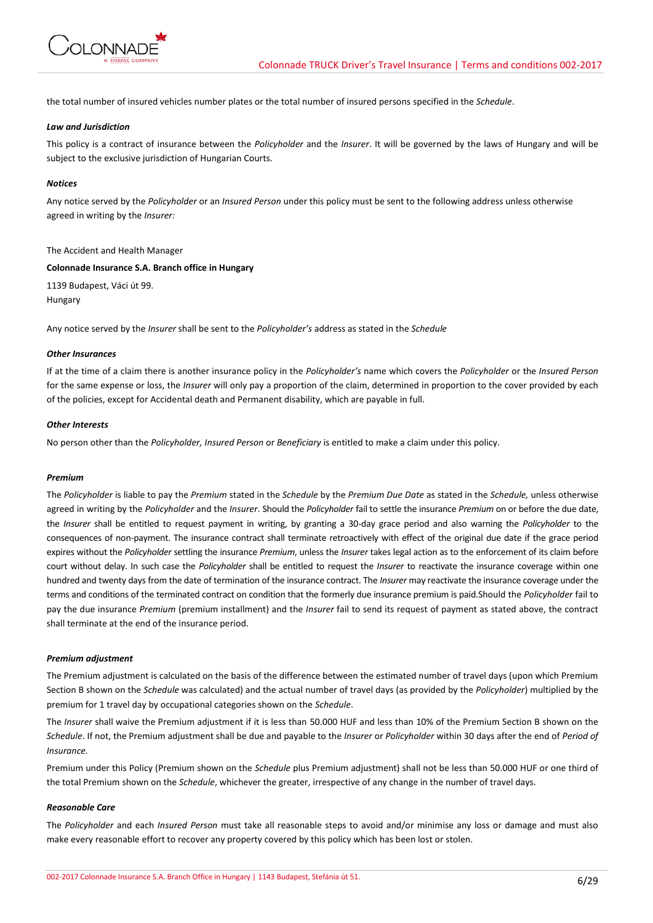

the total number of insured vehicles number plates or the total number of insured persons specified in the *Schedule*.

## *Law and Jurisdiction*

This policy is a contract of insurance between the *Policyholder* and the *Insurer*. It will be governed by the laws of Hungary and will be subject to the exclusive jurisdiction of Hungarian Courts.

### *Notices*

Any notice served by the *Policyholder* or an *Insured Person* under this policy must be sent to the following address unless otherwise agreed in writing by the *Insurer:*

#### The Accident and Health Manager

### **Colonnade Insurance S.A. Branch office in Hungary**

1139 Budapest, Váci út 99. Hungary

Any notice served by the *Insurer* shall be sent to the *Policyholder's* address as stated in the *Schedule*

## *Other Insurances*

If at the time of a claim there is another insurance policy in the *Policyholder's* name which covers the *Policyholder* or the *Insured Person* for the same expense or loss, the *Insurer* will only pay a proportion of the claim, determined in proportion to the cover provided by each of the policies, except for Accidental death and Permanent disability, which are payable in full.

# *Other Interests*

No person other than the *Policyholder, Insured Person* or *Beneficiary* is entitled to make a claim under this policy.

## *Premium*

The *Policyholder* is liable to pay the *Premium* stated in the *Schedule* by the *Premium Due Date* as stated in the *Schedule,* unless otherwise agreed in writing by the *Policyholder* and the *Insurer*. Should the *Policyholder* fail to settle the insurance *Premium* on or before the due date, the *Insurer* shall be entitled to request payment in writing, by granting a 30-day grace period and also warning the *Policyholder* to the consequences of non-payment. The insurance contract shall terminate retroactively with effect of the original due date if the grace period expires without the *Policyholder* settling the insurance *Premium*, unless the *Insurer* takes legal action as to the enforcement of its claim before court without delay. In such case the *Policyholder* shall be entitled to request the *Insurer* to reactivate the insurance coverage within one hundred and twenty days from the date of termination of the insurance contract. The *Insurer* may reactivate the insurance coverage under the terms and conditions of the terminated contract on condition that the formerly due insurance premium is paid.Should the *Policyholder* fail to pay the due insurance *Premium* (premium installment) and the *Insurer* fail to send its request of payment as stated above, the contract shall terminate at the end of the insurance period.

#### *Premium adjustment*

The Premium adjustment is calculated on the basis of the difference between the estimated number of travel days (upon which Premium Section B shown on the *Schedule* was calculated) and the actual number of travel days (as provided by the *Policyholder*) multiplied by the premium for 1 travel day by occupational categories shown on the *Schedule*.

The *Insurer* shall waive the Premium adjustment if it is less than 50.000 HUF and less than 10% of the Premium Section B shown on the *Schedule*. If not, the Premium adjustment shall be due and payable to the *Insurer* or *Policyholder* within 30 days after the end of *Period of Insurance.*

Premium under this Policy (Premium shown on the *Schedule* plus Premium adjustment) shall not be less than 50.000 HUF or one third of the total Premium shown on the *Schedule*, whichever the greater, irrespective of any change in the number of travel days.

#### *Reasonable Care*

The *Policyholder* and each *Insured Person* must take all reasonable steps to avoid and/or minimise any loss or damage and must also make every reasonable effort to recover any property covered by this policy which has been lost or stolen.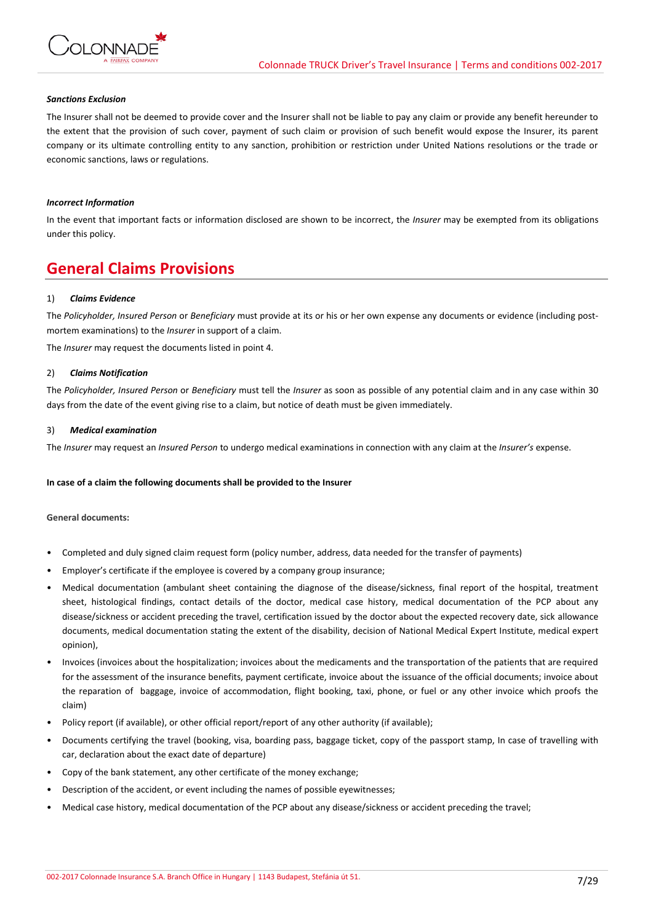

## *Sanctions Exclusion*

The Insurer shall not be deemed to provide cover and the Insurer shall not be liable to pay any claim or provide any benefit hereunder to the extent that the provision of such cover, payment of such claim or provision of such benefit would expose the Insurer, its parent company or its ultimate controlling entity to any sanction, prohibition or restriction under United Nations resolutions or the trade or economic sanctions, laws or regulations.

## *Incorrect Information*

In the event that important facts or information disclosed are shown to be incorrect, the *Insurer* may be exempted from its obligations under this policy.

# **General Claims Provisions**

## 1) *Claims Evidence*

The *Policyholder, Insured Person* or *Beneficiary* must provide at its or his or her own expense any documents or evidence (including postmortem examinations) to the *Insurer* in support of a claim.

The *Insurer* may request the documents listed in point 4.

#### 2) *Claims Notification*

The *Policyholder, Insured Person* or *Beneficiary* must tell the *Insurer* as soon as possible of any potential claim and in any case within 30 days from the date of the event giving rise to a claim, but notice of death must be given immediately.

#### 3) *Medical examination*

The *Insurer* may request an *Insured Person* to undergo medical examinations in connection with any claim at the *Insurer's* expense.

#### **In case of a claim the following documents shall be provided to the Insurer**

#### **General documents:**

- Completed and duly signed claim request form (policy number, address, data needed for the transfer of payments)
- Employer's certificate if the employee is covered by a company group insurance;
- Medical documentation (ambulant sheet containing the diagnose of the disease/sickness, final report of the hospital, treatment sheet, histological findings, contact details of the doctor, medical case history, medical documentation of the PCP about any disease/sickness or accident preceding the travel, certification issued by the doctor about the expected recovery date, sick allowance documents, medical documentation stating the extent of the disability, decision of National Medical Expert Institute, medical expert opinion),
- Invoices (invoices about the hospitalization; invoices about the medicaments and the transportation of the patients that are required for the assessment of the insurance benefits, payment certificate, invoice about the issuance of the official documents; invoice about the reparation of baggage, invoice of accommodation, flight booking, taxi, phone, or fuel or any other invoice which proofs the claim)
- Policy report (if available), or other official report/report of any other authority (if available);
- Documents certifying the travel (booking, visa, boarding pass, baggage ticket, copy of the passport stamp, In case of travelling with car, declaration about the exact date of departure)
- Copy of the bank statement, any other certificate of the money exchange;
- Description of the accident, or event including the names of possible eyewitnesses;
- Medical case history, medical documentation of the PCP about any disease/sickness or accident preceding the travel;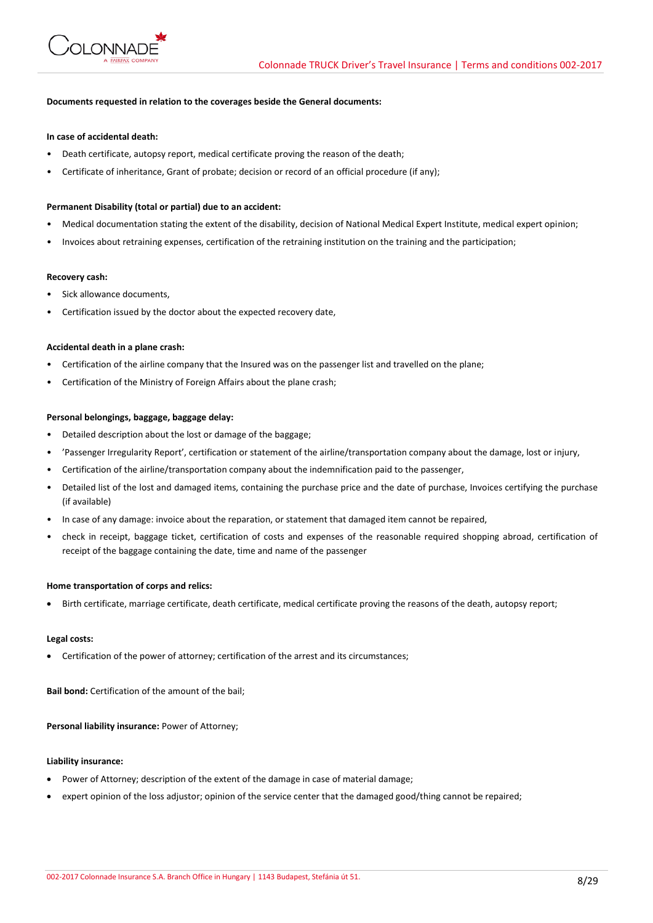

# **Documents requested in relation to the coverages beside the General documents:**

### **In case of accidental death:**

- Death certificate, autopsy report, medical certificate proving the reason of the death;
- Certificate of inheritance, Grant of probate; decision or record of an official procedure (if any);

#### **Permanent Disability (total or partial) due to an accident:**

- Medical documentation stating the extent of the disability, decision of National Medical Expert Institute, medical expert opinion;
- Invoices about retraining expenses, certification of the retraining institution on the training and the participation;

#### **Recovery cash:**

- Sick allowance documents,
- Certification issued by the doctor about the expected recovery date,

#### **Accidental death in a plane crash:**

- Certification of the airline company that the Insured was on the passenger list and travelled on the plane;
- Certification of the Ministry of Foreign Affairs about the plane crash;

## **Personal belongings, baggage, baggage delay:**

- Detailed description about the lost or damage of the baggage;
- 'Passenger Irregularity Report', certification or statement of the airline/transportation company about the damage, lost or injury,
- Certification of the airline/transportation company about the indemnification paid to the passenger,
- Detailed list of the lost and damaged items, containing the purchase price and the date of purchase, Invoices certifying the purchase (if available)
- In case of any damage: invoice about the reparation, or statement that damaged item cannot be repaired,
- check in receipt, baggage ticket, certification of costs and expenses of the reasonable required shopping abroad, certification of receipt of the baggage containing the date, time and name of the passenger

#### **Home transportation of corps and relics:**

Birth certificate, marriage certificate, death certificate, medical certificate proving the reasons of the death, autopsy report;

#### **Legal costs:**

Certification of the power of attorney; certification of the arrest and its circumstances;

**Bail bond:** Certification of the amount of the bail;

**Personal liability insurance:** Power of Attorney;

## **Liability insurance:**

- Power of Attorney; description of the extent of the damage in case of material damage;
- expert opinion of the loss adjustor; opinion of the service center that the damaged good/thing cannot be repaired;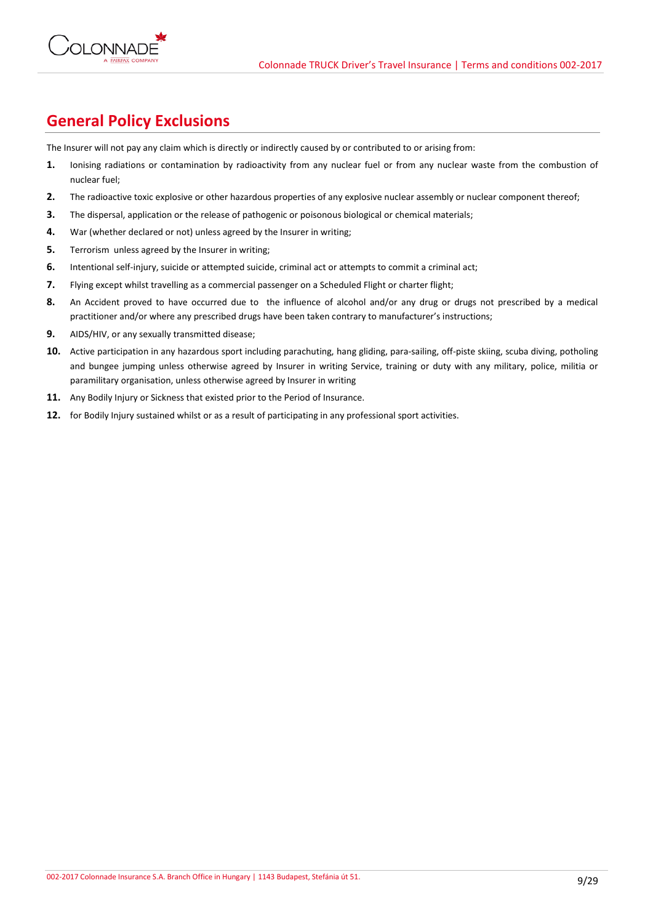

# **General Policy Exclusions**

The Insurer will not pay any claim which is directly or indirectly caused by or contributed to or arising from:

- **1.** Ionising radiations or contamination by radioactivity from any nuclear fuel or from any nuclear waste from the combustion of nuclear fuel;
- **2.** The radioactive toxic explosive or other hazardous properties of any explosive nuclear assembly or nuclear component thereof;
- **3.** The dispersal, application or the release of pathogenic or poisonous biological or chemical materials;
- **4.** War (whether declared or not) unless agreed by the Insurer in writing;
- **5.** Terrorism unless agreed by the Insurer in writing;
- **6.** Intentional self-injury, suicide or attempted suicide, criminal act or attempts to commit a criminal act;
- **7.** Flying except whilst travelling as a commercial passenger on a Scheduled Flight or charter flight;
- **8.** An Accident proved to have occurred due to the influence of alcohol and/or any drug or drugs not prescribed by a medical practitioner and/or where any prescribed drugs have been taken contrary to manufacturer's instructions;
- **9.** AIDS/HIV, or any sexually transmitted disease;
- 10. Active participation in any hazardous sport including parachuting, hang gliding, para-sailing, off-piste skiing, scuba diving, potholing and bungee jumping unless otherwise agreed by Insurer in writing Service, training or duty with any military, police, militia or paramilitary organisation, unless otherwise agreed by Insurer in writing
- **11.** Any Bodily Injury or Sickness that existed prior to the Period of Insurance.
- **12.** for Bodily Injury sustained whilst or as a result of participating in any professional sport activities.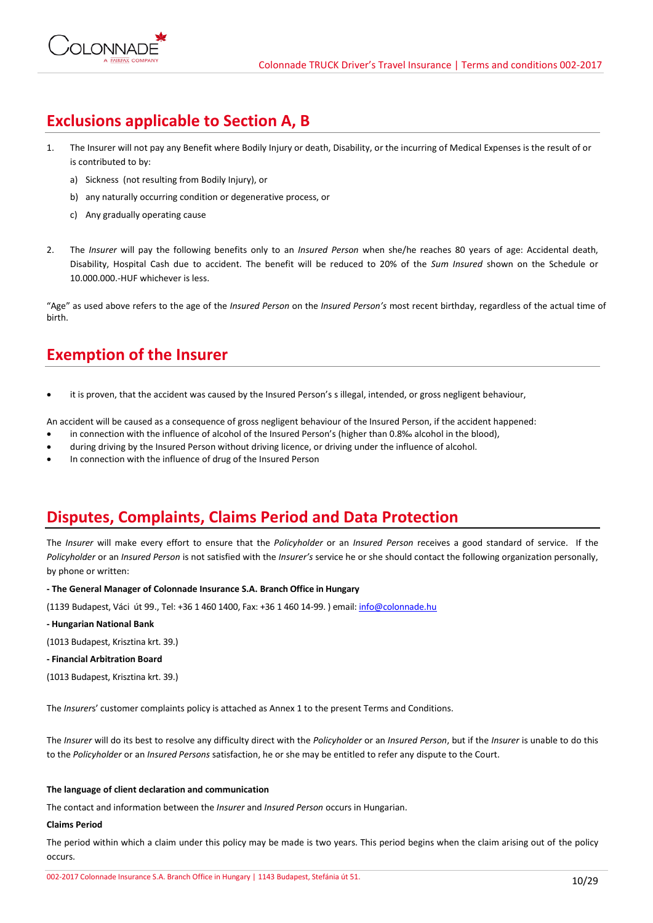# **Exclusions applicable to Section A, B**

- 1. The Insurer will not pay any Benefit where Bodily Injury or death, Disability, or the incurring of Medical Expenses is the result of or is contributed to by:
	- a) Sickness (not resulting from Bodily Injury), or
	- b) any naturally occurring condition or degenerative process, or
	- c) Any gradually operating cause
- 2. The *Insurer* will pay the following benefits only to an *Insured Person* when she/he reaches 80 years of age: Accidental death, Disability, Hospital Cash due to accident. The benefit will be reduced to 20% of the *Sum Insured* shown on the Schedule or 10.000.000.-HUF whichever is less.

"Age" as used above refers to the age of the *Insured Person* on the *Insured Person's* most recent birthday, regardless of the actual time of birth.

# **Exemption of the Insurer**

it is proven, that the accident was caused by the Insured Person's s illegal, intended, or gross negligent behaviour,

An accident will be caused as a consequence of gross negligent behaviour of the Insured Person, if the accident happened:

- in connection with the influence of alcohol of the Insured Person's (higher than 0.8‰ alcohol in the blood),
- during driving by the Insured Person without driving licence, or driving under the influence of alcohol.
- In connection with the influence of drug of the Insured Person

# **Disputes, Complaints, Claims Period and Data Protection**

The *Insurer* will make every effort to ensure that the *Policyholder* or an *Insured Person* receives a good standard of service. If the *Policyholder* or an *Insured Person* is not satisfied with the *Insurer's* service he or she should contact the following organization personally, by phone or written:

**- The General Manager of Colonnade Insurance S.A. Branch Office in Hungary**

(1139 Budapest, Váci út 99., Tel: +36 1 460 1400, Fax: +36 1 460 14-99. ) email[: info@colonnade.hu](mailto:info@colonnade.hu)

**- Hungarian National Bank**

(1013 Budapest, Krisztina krt. 39.)

- **- Financial Arbitration Board**
- (1013 Budapest, Krisztina krt. 39.)

The *Insurer*s' customer complaints policy is attached as Annex 1 to the present Terms and Conditions.

The *Insurer* will do its best to resolve any difficulty direct with the *Policyholder* or an *Insured Person*, but if the *Insurer* is unable to do this to the *Policyholder* or an *Insured Persons* satisfaction, he or she may be entitled to refer any dispute to the Court.

# **The language of client declaration and communication**

The contact and information between the *Insurer* and *Insured Person* occurs in Hungarian.

# **Claims Period**

The period within which a claim under this policy may be made is two years. This period begins when the claim arising out of the policy occurs.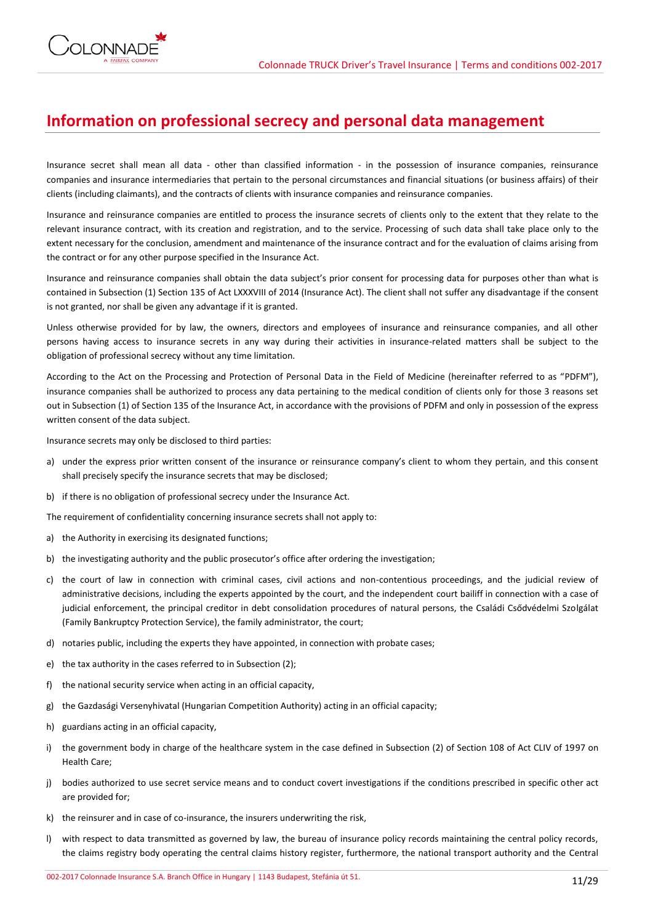

# **Information on professional secrecy and personal data management**

Insurance secret shall mean all data - other than classified information - in the possession of insurance companies, reinsurance companies and insurance intermediaries that pertain to the personal circumstances and financial situations (or business affairs) of their clients (including claimants), and the contracts of clients with insurance companies and reinsurance companies.

Insurance and reinsurance companies are entitled to process the insurance secrets of clients only to the extent that they relate to the relevant insurance contract, with its creation and registration, and to the service. Processing of such data shall take place only to the extent necessary for the conclusion, amendment and maintenance of the insurance contract and for the evaluation of claims arising from the contract or for any other purpose specified in the Insurance Act.

Insurance and reinsurance companies shall obtain the data subject's prior consent for processing data for purposes other than what is contained in Subsection (1) Section 135 of Act LXXXVIII of 2014 (Insurance Act). The client shall not suffer any disadvantage if the consent is not granted, nor shall be given any advantage if it is granted.

Unless otherwise provided for by law, the owners, directors and employees of insurance and reinsurance companies, and all other persons having access to insurance secrets in any way during their activities in insurance-related matters shall be subject to the obligation of professional secrecy without any time limitation.

According to the Act on the Processing and Protection of Personal Data in the Field of Medicine (hereinafter referred to as "PDFM"), insurance companies shall be authorized to process any data pertaining to the medical condition of clients only for those 3 reasons set out in Subsection (1) of Section 135 of the Insurance Act, in accordance with the provisions of PDFM and only in possession of the express written consent of the data subject.

Insurance secrets may only be disclosed to third parties:

- a) under the express prior written consent of the insurance or reinsurance company's client to whom they pertain, and this consent shall precisely specify the insurance secrets that may be disclosed;
- b) if there is no obligation of professional secrecy under the Insurance Act.

The requirement of confidentiality concerning insurance secrets shall not apply to:

- a) the Authority in exercising its designated functions;
- b) the investigating authority and the public prosecutor's office after ordering the investigation;
- c) the court of law in connection with criminal cases, civil actions and non-contentious proceedings, and the judicial review of administrative decisions, including the experts appointed by the court, and the independent court bailiff in connection with a case of judicial enforcement, the principal creditor in debt consolidation procedures of natural persons, the Családi Csődvédelmi Szolgálat (Family Bankruptcy Protection Service), the family administrator, the court;
- d) notaries public, including the experts they have appointed, in connection with probate cases;
- e) the tax authority in the cases referred to in Subsection (2);
- f) the national security service when acting in an official capacity,
- g) the Gazdasági Versenyhivatal (Hungarian Competition Authority) acting in an official capacity;
- h) guardians acting in an official capacity,
- i) the government body in charge of the healthcare system in the case defined in Subsection (2) of Section 108 of Act CLIV of 1997 on Health Care;
- j) bodies authorized to use secret service means and to conduct covert investigations if the conditions prescribed in specific other act are provided for;
- k) the reinsurer and in case of co-insurance, the insurers underwriting the risk,
- l) with respect to data transmitted as governed by law, the bureau of insurance policy records maintaining the central policy records, the claims registry body operating the central claims history register, furthermore, the national transport authority and the Central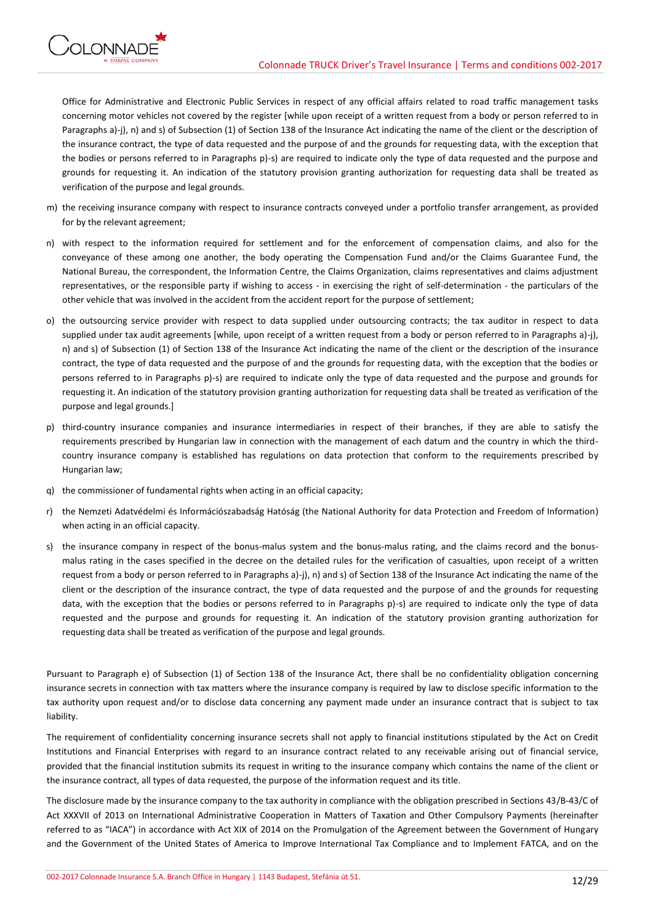

Office for Administrative and Electronic Public Services in respect of any official affairs related to road traffic management tasks concerning motor vehicles not covered by the register [while upon receipt of a written request from a body or person referred to in Paragraphs a)-j), n) and s) of Subsection (1) of Section 138 of the Insurance Act indicating the name of the client or the description of the insurance contract, the type of data requested and the purpose of and the grounds for requesting data, with the exception that the bodies or persons referred to in Paragraphs p)-s) are required to indicate only the type of data requested and the purpose and grounds for requesting it. An indication of the statutory provision granting authorization for requesting data shall be treated as verification of the purpose and legal grounds.

- m) the receiving insurance company with respect to insurance contracts conveyed under a portfolio transfer arrangement, as provided for by the relevant agreement;
- n) with respect to the information required for settlement and for the enforcement of compensation claims, and also for the conveyance of these among one another, the body operating the Compensation Fund and/or the Claims Guarantee Fund, the National Bureau, the correspondent, the Information Centre, the Claims Organization, claims representatives and claims adjustment representatives, or the responsible party if wishing to access - in exercising the right of self-determination - the particulars of the other vehicle that was involved in the accident from the accident report for the purpose of settlement;
- o) the outsourcing service provider with respect to data supplied under outsourcing contracts; the tax auditor in respect to data supplied under tax audit agreements [while, upon receipt of a written request from a body or person referred to in Paragraphs a)-j), n) and s) of Subsection (1) of Section 138 of the Insurance Act indicating the name of the client or the description of the insurance contract, the type of data requested and the purpose of and the grounds for requesting data, with the exception that the bodies or persons referred to in Paragraphs p)-s) are required to indicate only the type of data requested and the purpose and grounds for requesting it. An indication of the statutory provision granting authorization for requesting data shall be treated as verification of the purpose and legal grounds.]
- p) third-country insurance companies and insurance intermediaries in respect of their branches, if they are able to satisfy the requirements prescribed by Hungarian law in connection with the management of each datum and the country in which the thirdcountry insurance company is established has regulations on data protection that conform to the requirements prescribed by Hungarian law;
- q) the commissioner of fundamental rights when acting in an official capacity;
- r) the Nemzeti Adatvédelmi és Információszabadság Hatóság (the National Authority for data Protection and Freedom of Information) when acting in an official capacity.
- s) the insurance company in respect of the bonus-malus system and the bonus-malus rating, and the claims record and the bonusmalus rating in the cases specified in the decree on the detailed rules for the verification of casualties, upon receipt of a written request from a body or person referred to in Paragraphs a)-j), n) and s) of Section 138 of the Insurance Act indicating the name of the client or the description of the insurance contract, the type of data requested and the purpose of and the grounds for requesting data, with the exception that the bodies or persons referred to in Paragraphs p)-s) are required to indicate only the type of data requested and the purpose and grounds for requesting it. An indication of the statutory provision granting authorization for requesting data shall be treated as verification of the purpose and legal grounds.

Pursuant to Paragraph e) of Subsection (1) of Section 138 of the Insurance Act, there shall be no confidentiality obligation concerning insurance secrets in connection with tax matters where the insurance company is required by law to disclose specific information to the tax authority upon request and/or to disclose data concerning any payment made under an insurance contract that is subject to tax liability.

The requirement of confidentiality concerning insurance secrets shall not apply to financial institutions stipulated by the Act on Credit Institutions and Financial Enterprises with regard to an insurance contract related to any receivable arising out of financial service, provided that the financial institution submits its request in writing to the insurance company which contains the name of the client or the insurance contract, all types of data requested, the purpose of the information request and its title.

The disclosure made by the insurance company to the tax authority in compliance with the obligation prescribed in Sections 43/B-43/C of Act XXXVII of 2013 on International Administrative Cooperation in Matters of Taxation and Other Compulsory Payments (hereinafter referred to as "IACA") in accordance with Act XIX of 2014 on the Promulgation of the Agreement between the Government of Hungary and the Government of the United States of America to Improve International Tax Compliance and to Implement FATCA, and on the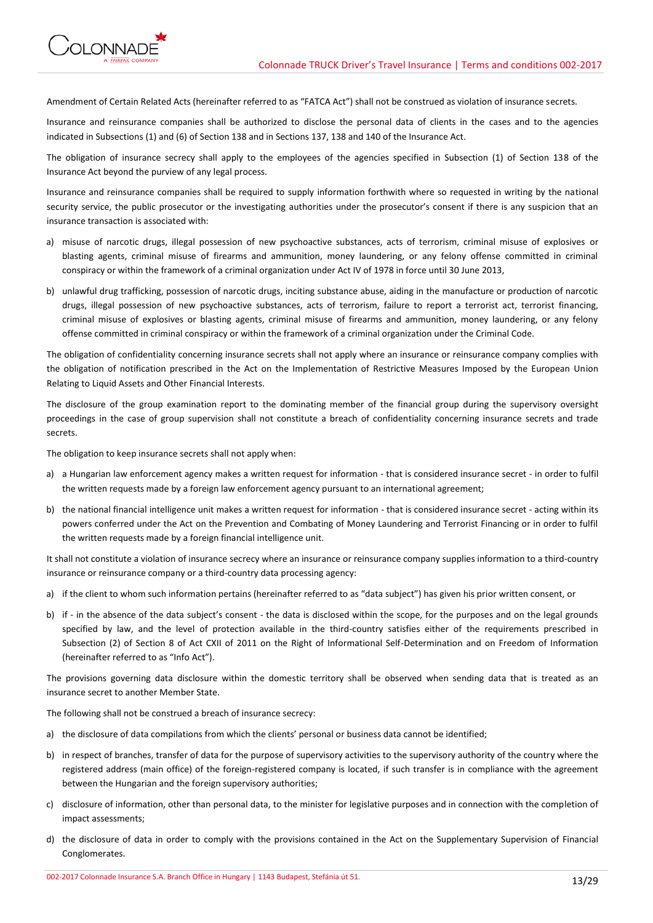

Amendment of Certain Related Acts (hereinafter referred to as "FATCA Act") shall not be construed as violation of insurance secrets.

Insurance and reinsurance companies shall be authorized to disclose the personal data of clients in the cases and to the agencies indicated in Subsections (1) and (6) of Section 138 and in Sections 137, 138 and 140 of the Insurance Act.

The obligation of insurance secrecy shall apply to the employees of the agencies specified in Subsection (1) of Section 138 of the Insurance Act beyond the purview of any legal process.

Insurance and reinsurance companies shall be required to supply information forthwith where so requested in writing by the national security service, the public prosecutor or the investigating authorities under the prosecutor's consent if there is any suspicion that an insurance transaction is associated with:

- a) misuse of narcotic drugs, illegal possession of new psychoactive substances, acts of terrorism, criminal misuse of explosives or blasting agents, criminal misuse of firearms and ammunition, money laundering, or any felony offense committed in criminal conspiracy or within the framework of a criminal organization under Act IV of 1978 in force until 30 June 2013,
- b) unlawful drug trafficking, possession of narcotic drugs, inciting substance abuse, aiding in the manufacture or production of narcotic drugs, illegal possession of new psychoactive substances, acts of terrorism, failure to report a terrorist act, terrorist financing, criminal misuse of explosives or blasting agents, criminal misuse of firearms and ammunition, money laundering, or any felony offense committed in criminal conspiracy or within the framework of a criminal organization under the Criminal Code.

The obligation of confidentiality concerning insurance secrets shall not apply where an insurance or reinsurance company complies with the obligation of notification prescribed in the Act on the Implementation of Restrictive Measures Imposed by the European Union Relating to Liquid Assets and Other Financial Interests.

The disclosure of the group examination report to the dominating member of the financial group during the supervisory oversight proceedings in the case of group supervision shall not constitute a breach of confidentiality concerning insurance secrets and trade secrets.

The obligation to keep insurance secrets shall not apply when:

- a) a Hungarian law enforcement agency makes a written request for information that is considered insurance secret in order to fulfil the written requests made by a foreign law enforcement agency pursuant to an international agreement;
- b) the national financial intelligence unit makes a written request for information that is considered insurance secret acting within its powers conferred under the Act on the Prevention and Combating of Money Laundering and Terrorist Financing or in order to fulfil the written requests made by a foreign financial intelligence unit.

It shall not constitute a violation of insurance secrecy where an insurance or reinsurance company supplies information to a third-country insurance or reinsurance company or a third-country data processing agency:

- a) if the client to whom such information pertains (hereinafter referred to as "data subject") has given his prior written consent, or
- b) if in the absence of the data subject's consent the data is disclosed within the scope, for the purposes and on the legal grounds specified by law, and the level of protection available in the third-country satisfies either of the requirements prescribed in Subsection (2) of Section 8 of Act CXII of 2011 on the Right of Informational Self-Determination and on Freedom of Information (hereinafter referred to as "Info Act").

The provisions governing data disclosure within the domestic territory shall be observed when sending data that is treated as an insurance secret to another Member State.

The following shall not be construed a breach of insurance secrecy:

- a) the disclosure of data compilations from which the clients' personal or business data cannot be identified;
- b) in respect of branches, transfer of data for the purpose of supervisory activities to the supervisory authority of the country where the registered address (main office) of the foreign-registered company is located, if such transfer is in compliance with the agreement between the Hungarian and the foreign supervisory authorities;
- c) disclosure of information, other than personal data, to the minister for legislative purposes and in connection with the completion of impact assessments;
- d) the disclosure of data in order to comply with the provisions contained in the Act on the Supplementary Supervision of Financial Conglomerates.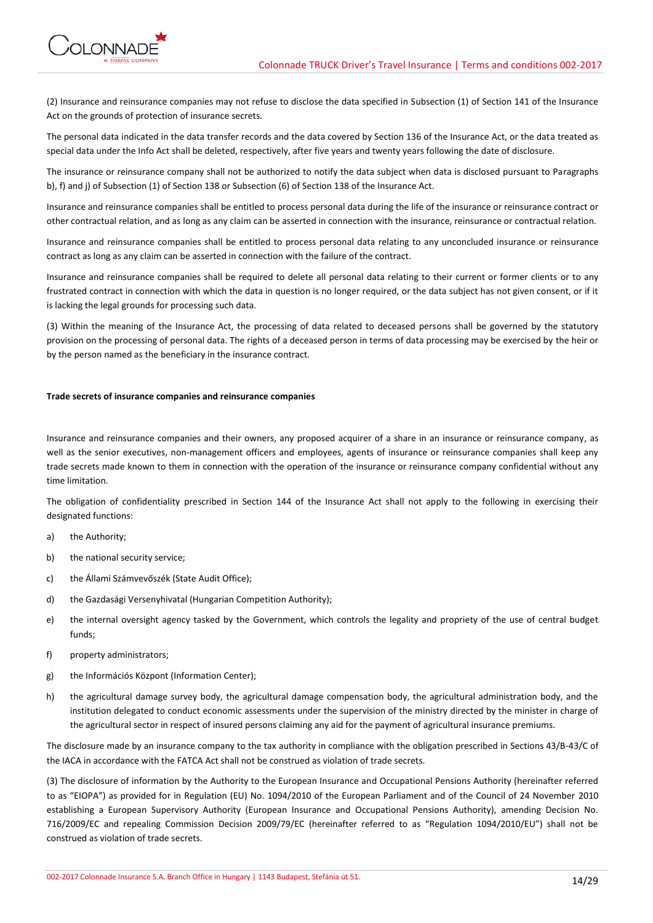

(2) Insurance and reinsurance companies may not refuse to disclose the data specified in Subsection (1) of Section 141 of the Insurance Act on the grounds of protection of insurance secrets.

The personal data indicated in the data transfer records and the data covered by Section 136 of the Insurance Act, or the data treated as special data under the Info Act shall be deleted, respectively, after five years and twenty years following the date of disclosure.

The insurance or reinsurance company shall not be authorized to notify the data subject when data is disclosed pursuant to Paragraphs b), f) and j) of Subsection (1) of Section 138 or Subsection (6) of Section 138 of the Insurance Act.

Insurance and reinsurance companies shall be entitled to process personal data during the life of the insurance or reinsurance contract or other contractual relation, and as long as any claim can be asserted in connection with the insurance, reinsurance or contractual relation.

Insurance and reinsurance companies shall be entitled to process personal data relating to any unconcluded insurance or reinsurance contract as long as any claim can be asserted in connection with the failure of the contract.

Insurance and reinsurance companies shall be required to delete all personal data relating to their current or former clients or to any frustrated contract in connection with which the data in question is no longer required, or the data subject has not given consent, or if it is lacking the legal grounds for processing such data.

(3) Within the meaning of the Insurance Act, the processing of data related to deceased persons shall be governed by the statutory provision on the processing of personal data. The rights of a deceased person in terms of data processing may be exercised by the heir or by the person named as the beneficiary in the insurance contract.

## **Trade secrets of insurance companies and reinsurance companies**

Insurance and reinsurance companies and their owners, any proposed acquirer of a share in an insurance or reinsurance company, as well as the senior executives, non-management officers and employees, agents of insurance or reinsurance companies shall keep any trade secrets made known to them in connection with the operation of the insurance or reinsurance company confidential without any time limitation.

The obligation of confidentiality prescribed in Section 144 of the Insurance Act shall not apply to the following in exercising their designated functions:

- a) the Authority;
- b) the national security service;
- c) the Állami Számvevőszék (State Audit Office);
- d) the Gazdasági Versenyhivatal (Hungarian Competition Authority);
- e) the internal oversight agency tasked by the Government, which controls the legality and propriety of the use of central budget funds;
- f) property administrators;
- g) the Információs Központ (Information Center);
- h) the agricultural damage survey body, the agricultural damage compensation body, the agricultural administration body, and the institution delegated to conduct economic assessments under the supervision of the ministry directed by the minister in charge of the agricultural sector in respect of insured persons claiming any aid for the payment of agricultural insurance premiums.

The disclosure made by an insurance company to the tax authority in compliance with the obligation prescribed in Sections 43/B-43/C of the IACA in accordance with the FATCA Act shall not be construed as violation of trade secrets.

(3) The disclosure of information by the Authority to the European Insurance and Occupational Pensions Authority (hereinafter referred to as "EIOPA") as provided for in Regulation (EU) No. 1094/2010 of the European Parliament and of the Council of 24 November 2010 establishing a European Supervisory Authority (European Insurance and Occupational Pensions Authority), amending Decision No. 716/2009/EC and repealing Commission Decision 2009/79/EC (hereinafter referred to as "Regulation 1094/2010/EU") shall not be construed as violation of trade secrets.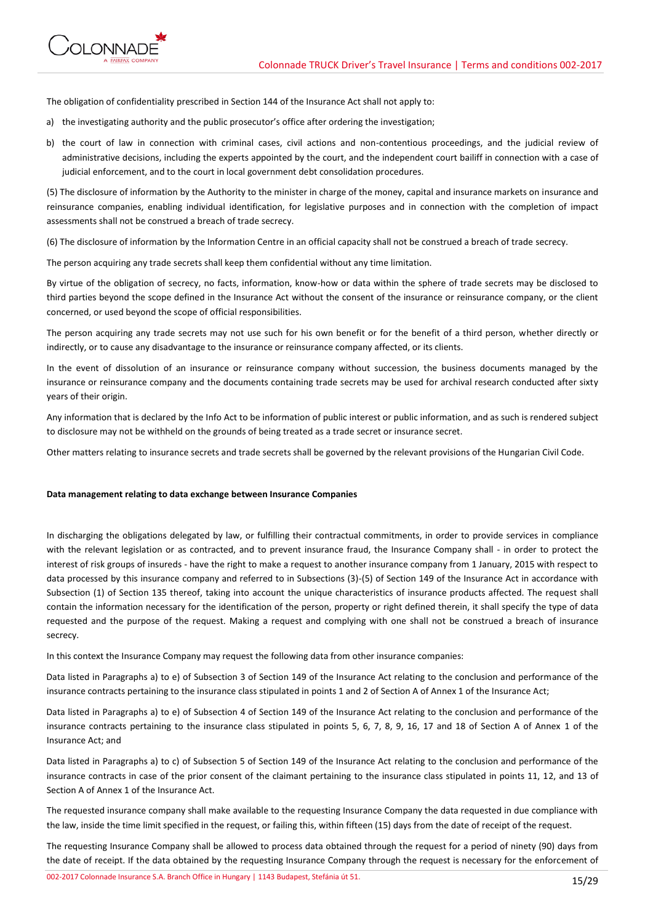

The obligation of confidentiality prescribed in Section 144 of the Insurance Act shall not apply to:

- a) the investigating authority and the public prosecutor's office after ordering the investigation;
- b) the court of law in connection with criminal cases, civil actions and non-contentious proceedings, and the judicial review of administrative decisions, including the experts appointed by the court, and the independent court bailiff in connection with a case of judicial enforcement, and to the court in local government debt consolidation procedures.

(5) The disclosure of information by the Authority to the minister in charge of the money, capital and insurance markets on insurance and reinsurance companies, enabling individual identification, for legislative purposes and in connection with the completion of impact assessments shall not be construed a breach of trade secrecy.

(6) The disclosure of information by the Information Centre in an official capacity shall not be construed a breach of trade secrecy.

The person acquiring any trade secrets shall keep them confidential without any time limitation.

By virtue of the obligation of secrecy, no facts, information, know-how or data within the sphere of trade secrets may be disclosed to third parties beyond the scope defined in the Insurance Act without the consent of the insurance or reinsurance company, or the client concerned, or used beyond the scope of official responsibilities.

The person acquiring any trade secrets may not use such for his own benefit or for the benefit of a third person, whether directly or indirectly, or to cause any disadvantage to the insurance or reinsurance company affected, or its clients.

In the event of dissolution of an insurance or reinsurance company without succession, the business documents managed by the insurance or reinsurance company and the documents containing trade secrets may be used for archival research conducted after sixty years of their origin.

Any information that is declared by the Info Act to be information of public interest or public information, and as such is rendered subject to disclosure may not be withheld on the grounds of being treated as a trade secret or insurance secret.

Other matters relating to insurance secrets and trade secrets shall be governed by the relevant provisions of the Hungarian Civil Code.

# **Data management relating to data exchange between Insurance Companies**

In discharging the obligations delegated by law, or fulfilling their contractual commitments, in order to provide services in compliance with the relevant legislation or as contracted, and to prevent insurance fraud, the Insurance Company shall - in order to protect the interest of risk groups of insureds - have the right to make a request to another insurance company from 1 January, 2015 with respect to data processed by this insurance company and referred to in Subsections (3)-(5) of Section 149 of the Insurance Act in accordance with Subsection (1) of Section 135 thereof, taking into account the unique characteristics of insurance products affected. The request shall contain the information necessary for the identification of the person, property or right defined therein, it shall specify the type of data requested and the purpose of the request. Making a request and complying with one shall not be construed a breach of insurance secrecy.

In this context the Insurance Company may request the following data from other insurance companies:

Data listed in Paragraphs a) to e) of Subsection 3 of Section 149 of the Insurance Act relating to the conclusion and performance of the insurance contracts pertaining to the insurance class stipulated in points 1 and 2 of Section A of Annex 1 of the Insurance Act;

Data listed in Paragraphs a) to e) of Subsection 4 of Section 149 of the Insurance Act relating to the conclusion and performance of the insurance contracts pertaining to the insurance class stipulated in points 5, 6, 7, 8, 9, 16, 17 and 18 of Section A of Annex 1 of the Insurance Act; and

Data listed in Paragraphs a) to c) of Subsection 5 of Section 149 of the Insurance Act relating to the conclusion and performance of the insurance contracts in case of the prior consent of the claimant pertaining to the insurance class stipulated in points 11, 12, and 13 of Section A of Annex 1 of the Insurance Act.

The requested insurance company shall make available to the requesting Insurance Company the data requested in due compliance with the law, inside the time limit specified in the request, or failing this, within fifteen (15) days from the date of receipt of the request.

The requesting Insurance Company shall be allowed to process data obtained through the request for a period of ninety (90) days from the date of receipt. If the data obtained by the requesting Insurance Company through the request is necessary for the enforcement of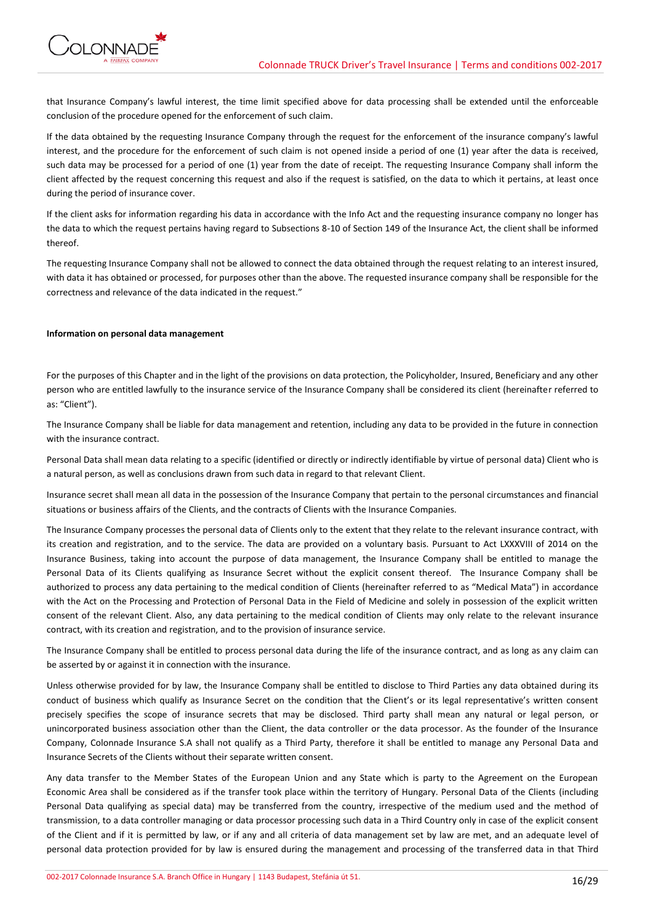

that Insurance Company's lawful interest, the time limit specified above for data processing shall be extended until the enforceable conclusion of the procedure opened for the enforcement of such claim.

If the data obtained by the requesting Insurance Company through the request for the enforcement of the insurance company's lawful interest, and the procedure for the enforcement of such claim is not opened inside a period of one (1) year after the data is received, such data may be processed for a period of one (1) year from the date of receipt. The requesting Insurance Company shall inform the client affected by the request concerning this request and also if the request is satisfied, on the data to which it pertains, at least once during the period of insurance cover.

If the client asks for information regarding his data in accordance with the Info Act and the requesting insurance company no longer has the data to which the request pertains having regard to Subsections 8-10 of Section 149 of the Insurance Act, the client shall be informed thereof.

The requesting Insurance Company shall not be allowed to connect the data obtained through the request relating to an interest insured, with data it has obtained or processed, for purposes other than the above. The requested insurance company shall be responsible for the correctness and relevance of the data indicated in the request."

## **Information on personal data management**

For the purposes of this Chapter and in the light of the provisions on data protection, the Policyholder, Insured, Beneficiary and any other person who are entitled lawfully to the insurance service of the Insurance Company shall be considered its client (hereinafter referred to as: "Client").

The Insurance Company shall be liable for data management and retention, including any data to be provided in the future in connection with the insurance contract.

Personal Data shall mean data relating to a specific (identified or directly or indirectly identifiable by virtue of personal data) Client who is a natural person, as well as conclusions drawn from such data in regard to that relevant Client.

Insurance secret shall mean all data in the possession of the Insurance Company that pertain to the personal circumstances and financial situations or business affairs of the Clients, and the contracts of Clients with the Insurance Companies.

The Insurance Company processes the personal data of Clients only to the extent that they relate to the relevant insurance contract, with its creation and registration, and to the service. The data are provided on a voluntary basis. Pursuant to Act LXXXVIII of 2014 on the Insurance Business, taking into account the purpose of data management, the Insurance Company shall be entitled to manage the Personal Data of its Clients qualifying as Insurance Secret without the explicit consent thereof. The Insurance Company shall be authorized to process any data pertaining to the medical condition of Clients (hereinafter referred to as "Medical Mata") in accordance with the Act on the Processing and Protection of Personal Data in the Field of Medicine and solely in possession of the explicit written consent of the relevant Client. Also, any data pertaining to the medical condition of Clients may only relate to the relevant insurance contract, with its creation and registration, and to the provision of insurance service.

The Insurance Company shall be entitled to process personal data during the life of the insurance contract, and as long as any claim can be asserted by or against it in connection with the insurance.

Unless otherwise provided for by law, the Insurance Company shall be entitled to disclose to Third Parties any data obtained during its conduct of business which qualify as Insurance Secret on the condition that the Client's or its legal representative's written consent precisely specifies the scope of insurance secrets that may be disclosed. Third party shall mean any natural or legal person, or unincorporated business association other than the Client, the data controller or the data processor. As the founder of the Insurance Company, Colonnade Insurance S.A shall not qualify as a Third Party, therefore it shall be entitled to manage any Personal Data and Insurance Secrets of the Clients without their separate written consent.

Any data transfer to the Member States of the European Union and any State which is party to the Agreement on the European Economic Area shall be considered as if the transfer took place within the territory of Hungary. Personal Data of the Clients (including Personal Data qualifying as special data) may be transferred from the country, irrespective of the medium used and the method of transmission, to a data controller managing or data processor processing such data in a Third Country only in case of the explicit consent of the Client and if it is permitted by law, or if any and all criteria of data management set by law are met, and an adequate level of personal data protection provided for by law is ensured during the management and processing of the transferred data in that Third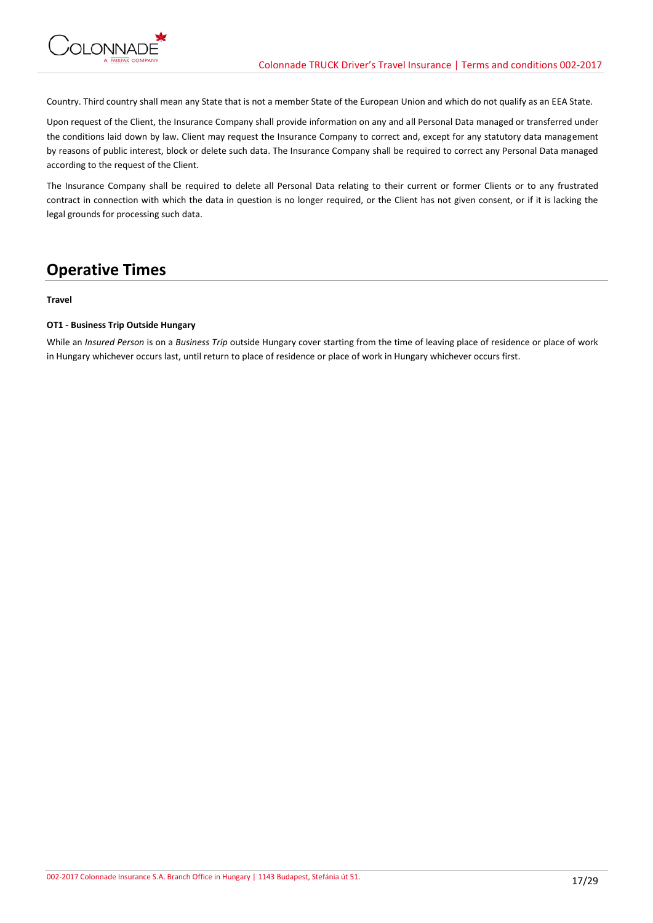Country. Third country shall mean any State that is not a member State of the European Union and which do not qualify as an EEA State.

Upon request of the Client, the Insurance Company shall provide information on any and all Personal Data managed or transferred under the conditions laid down by law. Client may request the Insurance Company to correct and, except for any statutory data management by reasons of public interest, block or delete such data. The Insurance Company shall be required to correct any Personal Data managed according to the request of the Client.

The Insurance Company shall be required to delete all Personal Data relating to their current or former Clients or to any frustrated contract in connection with which the data in question is no longer required, or the Client has not given consent, or if it is lacking the legal grounds for processing such data.

# **Operative Times**

# **Travel**

# **OT1 - Business Trip Outside Hungary**

While an *Insured Person* is on a *Business Trip* outside Hungary cover starting from the time of leaving place of residence or place of work in Hungary whichever occurs last, until return to place of residence or place of work in Hungary whichever occurs first.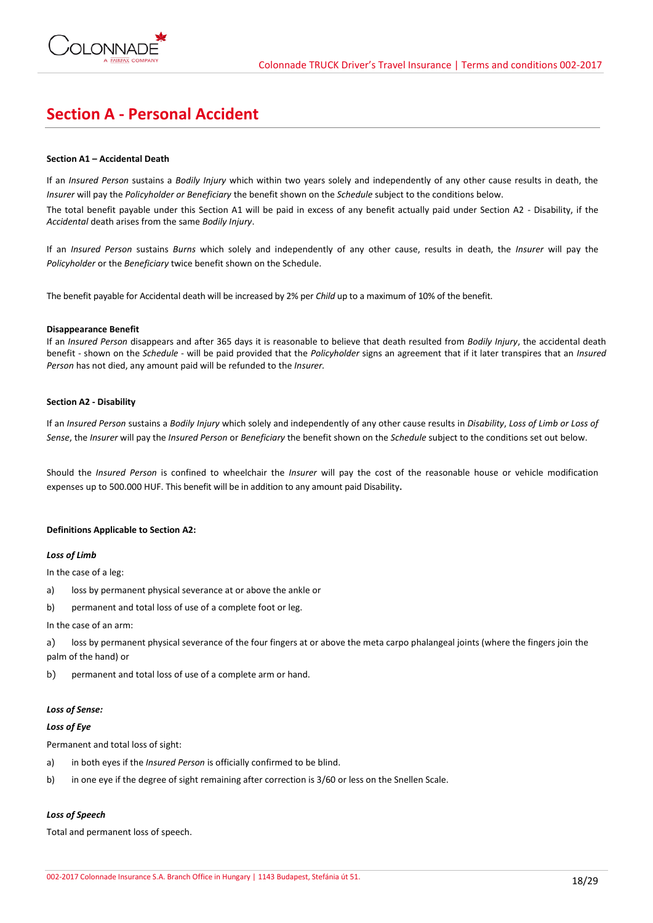

# **Section A - Personal Accident**

# **Section A1 – Accidental Death**

If an *Insured Person* sustains a *Bodily Injury* which within two years solely and independently of any other cause results in death, the *Insurer* will pay the *Policyholder or Beneficiary* the benefit shown on the *Schedule* subject to the conditions below.

The total benefit payable under this Section A1 will be paid in excess of any benefit actually paid under Section A2 - Disability, if the *Accidental* death arises from the same *Bodily Injury*.

If an *Insured Person* sustains *Burns* which solely and independently of any other cause, results in death, the *Insurer* will pay the *Policyholder* or the *Beneficiary* twice benefit shown on the Schedule.

The benefit payable for Accidental death will be increased by 2% per *Child* up to a maximum of 10% of the benefit.

## **Disappearance Benefit**

If an *Insured Person* disappears and after 365 days it is reasonable to believe that death resulted from *Bodily Injury*, the accidental death benefit - shown on the *Schedule* - will be paid provided that the *Policyholder* signs an agreement that if it later transpires that an *Insured Person* has not died, any amount paid will be refunded to the *Insurer.*

# **Section A2 - Disability**

If an *Insured Person* sustains a *Bodily Injury* which solely and independently of any other cause results in *Disability*, *Loss of Limb or Loss of Sense*, the *Insurer* will pay the *Insured Person* or *Beneficiary* the benefit shown on the *Schedule* subject to the conditions set out below.

Should the *Insured Person* is confined to wheelchair the *Insurer* will pay the cost of the reasonable house or vehicle modification expenses up to 500.000 HUF. This benefit will be in addition to any amount paid Disability.

# **Definitions Applicable to Section A2:**

# *Loss of Limb*

In the case of a leg:

- a) loss by permanent physical severance at or above the ankle or
- b) permanent and total loss of use of a complete foot or leg.

#### In the case of an arm:

a) loss by permanent physical severance of the four fingers at or above the meta carpo phalangeal joints (where the fingers join the palm of the hand) or

b) permanent and total loss of use of a complete arm or hand.

# *Loss of Sense:*

# *Loss of Eye*

Permanent and total loss of sight:

- a) in both eyes if the *Insured Person* is officially confirmed to be blind.
- b) in one eye if the degree of sight remaining after correction is 3/60 or less on the Snellen Scale.

# *Loss of Speech*

Total and permanent loss of speech.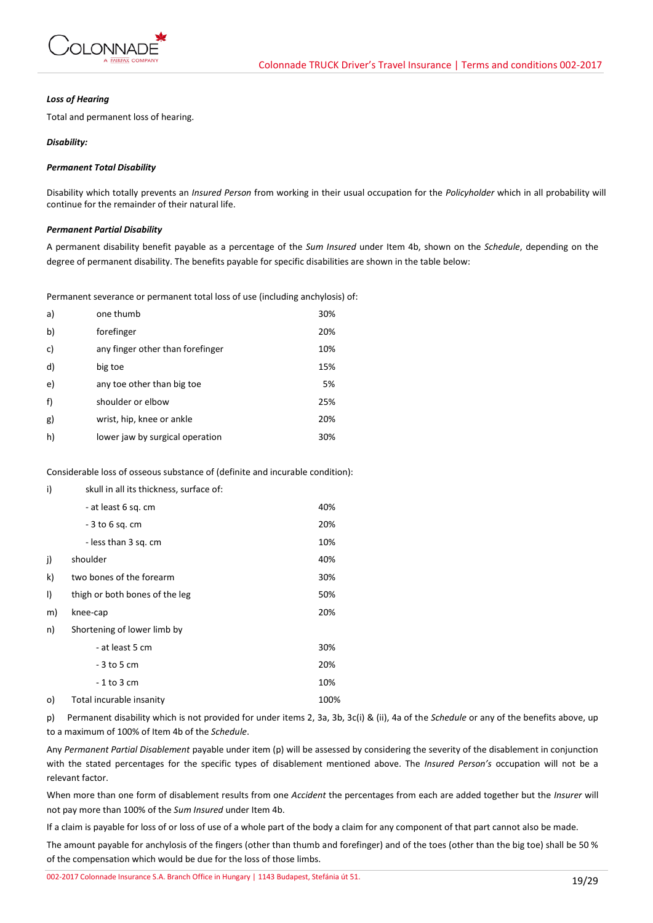

## *Loss of Hearing*

Total and permanent loss of hearing.

# *Disability:*

# *Permanent Total Disability*

Disability which totally prevents an *Insured Person* from working in their usual occupation for the *Policyholder* which in all probability will continue for the remainder of their natural life.

# *Permanent Partial Disability*

A permanent disability benefit payable as a percentage of the *Sum Insured* under Item 4b, shown on the *Schedule*, depending on the degree of permanent disability. The benefits payable for specific disabilities are shown in the table below:

Permanent severance or permanent total loss of use (including anchylosis) of:

| a) | one thumb                        | 30% |
|----|----------------------------------|-----|
| b) | forefinger                       | 20% |
| c) | any finger other than forefinger | 10% |
| d) | big toe                          | 15% |
| e) | any toe other than big toe       | 5%  |
| f) | shoulder or elbow                | 25% |
| g) | wrist, hip, knee or ankle        | 20% |
| h) | lower jaw by surgical operation  | 30% |

Considerable loss of osseous substance of (definite and incurable condition):

| i)      | skull in all its thickness, surface of: |      |
|---------|-----------------------------------------|------|
|         | - at least 6 sq. cm                     | 40%  |
|         | - 3 to 6 sq. cm                         | 20%  |
|         | - less than 3 sq. cm                    | 10%  |
| j)      | shoulder                                | 40%  |
| k)      | two bones of the forearm                | 30%  |
| $\vert$ | thigh or both bones of the leg          | 50%  |
| m)      | knee-cap                                | 20%  |
| n)      | Shortening of lower limb by             |      |
|         | - at least 5 cm                         | 30%  |
|         | - 3 to 5 cm                             | 20%  |
|         | - 1 to 3 cm                             | 10%  |
| o)      | Total incurable insanity                | 100% |

p) Permanent disability which is not provided for under items 2, 3a, 3b, 3c(i) & (ii), 4a of the *Schedule* or any of the benefits above, up to a maximum of 100% of Item 4b of the *Schedule*.

Any *Permanent Partial Disablement* payable under item (p) will be assessed by considering the severity of the disablement in conjunction with the stated percentages for the specific types of disablement mentioned above. The *Insured Person's* occupation will not be a relevant factor.

When more than one form of disablement results from one *Accident* the percentages from each are added together but the *Insurer* will not pay more than 100% of the *Sum Insured* under Item 4b.

If a claim is payable for loss of or loss of use of a whole part of the body a claim for any component of that part cannot also be made.

The amount payable for anchylosis of the fingers (other than thumb and forefinger) and of the toes (other than the big toe) shall be 50 % of the compensation which would be due for the loss of those limbs.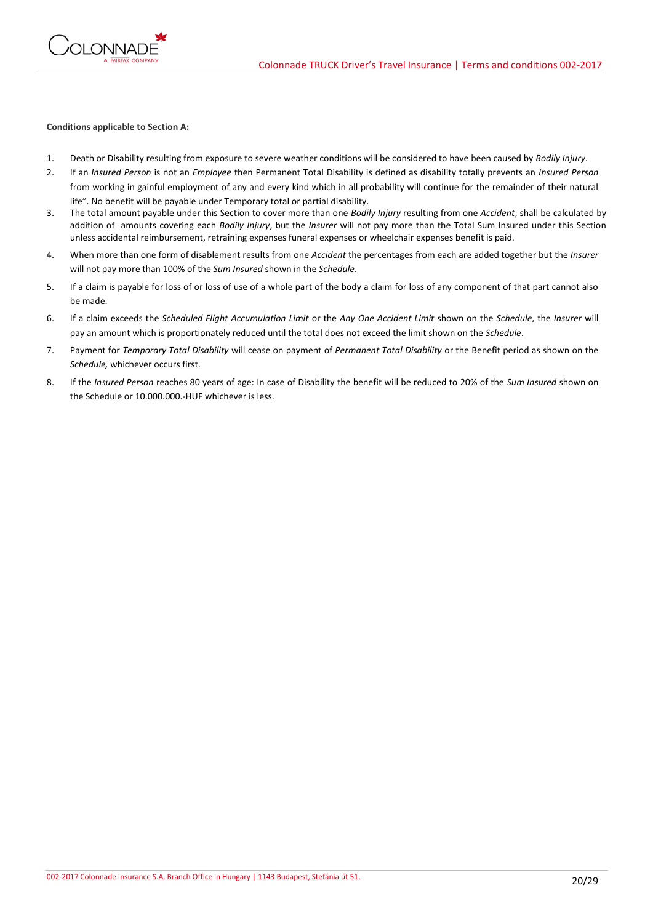

## **Conditions applicable to Section A:**

- 1. Death or Disability resulting from exposure to severe weather conditions will be considered to have been caused by *Bodily Injury*.
- 2. If an *Insured Person* is not an *Employee* then Permanent Total Disability is defined as disability totally prevents an *Insured Person* from working in gainful employment of any and every kind which in all probability will continue for the remainder of their natural life". No benefit will be payable under Temporary total or partial disability.
- 3. The total amount payable under this Section to cover more than one *Bodily Injury* resulting from one *Accident*, shall be calculated by addition of amounts covering each *Bodily Injury*, but the *Insurer* will not pay more than the Total Sum Insured under this Section unless accidental reimbursement, retraining expenses funeral expenses or wheelchair expenses benefit is paid.
- 4. When more than one form of disablement results from one *Accident* the percentages from each are added together but the *Insurer* will not pay more than 100% of the *Sum Insured* shown in the *Schedule*.
- 5. If a claim is payable for loss of or loss of use of a whole part of the body a claim for loss of any component of that part cannot also be made.
- 6. If a claim exceeds the *Scheduled Flight Accumulation Limit* or the *Any One Accident Limit* shown on the *Schedule*, the *Insurer* will pay an amount which is proportionately reduced until the total does not exceed the limit shown on the *Schedule*.
- 7. Payment for *Temporary Total Disability* will cease on payment of *Permanent Total Disability* or the Benefit period as shown on the *Schedule,* whichever occurs first.
- 8. If the *Insured Person* reaches 80 years of age: In case of Disability the benefit will be reduced to 20% of the *Sum Insured* shown on the Schedule or 10.000.000.-HUF whichever is less.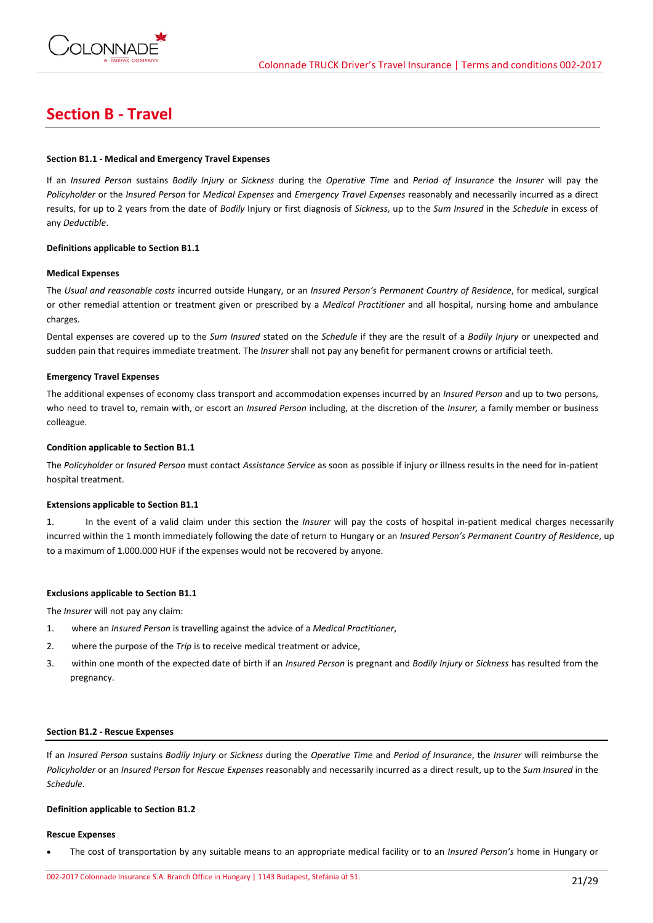

# **Section B - Travel**

# **Section B1.1 - Medical and Emergency Travel Expenses**

If an *Insured Person* sustains *Bodily Injury* or *Sickness* during the *Operative Time* and *Period of Insurance* the *Insurer* will pay the *Policyholder* or the *Insured Person* for *Medical Expenses* and *Emergency Travel Expenses* reasonably and necessarily incurred as a direct results, for up to 2 years from the date of *Bodily* Injury or first diagnosis of *Sickness*, up to the *Sum Insured* in the *Schedule* in excess of any *Deductible*.

# **Definitions applicable to Section B1.1**

## **Medical Expenses**

The *Usual and reasonable costs* incurred outside Hungary, or an *Insured Person's Permanent Country of Residence*, for medical, surgical or other remedial attention or treatment given or prescribed by a *Medical Practitioner* and all hospital, nursing home and ambulance charges.

Dental expenses are covered up to the *Sum Insured* stated on the *Schedule* if they are the result of a *Bodily Injury* or unexpected and sudden pain that requires immediate treatment*.* The *Insurer* shall not pay any benefit for permanent crowns or artificial teeth.

## **Emergency Travel Expenses**

The additional expenses of economy class transport and accommodation expenses incurred by an *Insured Person* and up to two persons, who need to travel to, remain with, or escort an *Insured Person* including, at the discretion of the *Insurer,* a family member or business colleague*.*

## **Condition applicable to Section B1.1**

The *Policyholder* or *Insured Person* must contact *Assistance Service* as soon as possible if injury or illness results in the need for in-patient hospital treatment.

# **Extensions applicable to Section B1.1**

1. In the event of a valid claim under this section the *Insurer* will pay the costs of hospital in-patient medical charges necessarily incurred within the 1 month immediately following the date of return to Hungary or an *Insured Person's Permanent Country of Residence*, up to a maximum of 1.000.000 HUF if the expenses would not be recovered by anyone.

# **Exclusions applicable to Section B1.1**

The *Insurer* will not pay any claim:

- 1. where an *Insured Person* is travelling against the advice of a *Medical Practitioner*,
- 2. where the purpose of the *Trip* is to receive medical treatment or advice,
- 3. within one month of the expected date of birth if an *Insured Person* is pregnant and *Bodily Injury* or *Sickness* has resulted from the pregnancy.

#### **Section B1.2 - Rescue Expenses**

If an *Insured Person* sustains *Bodily Injury* or *Sickness* during the *Operative Time* and *Period of Insurance*, the *Insurer* will reimburse the *Policyholder* or an *Insured Person* for *Rescue Expenses* reasonably and necessarily incurred as a direct result, up to the *Sum Insured* in the *Schedule*.

### **Definition applicable to Section B1.2**

#### **Rescue Expenses**

The cost of transportation by any suitable means to an appropriate medical facility or to an *Insured Person's* home in Hungary or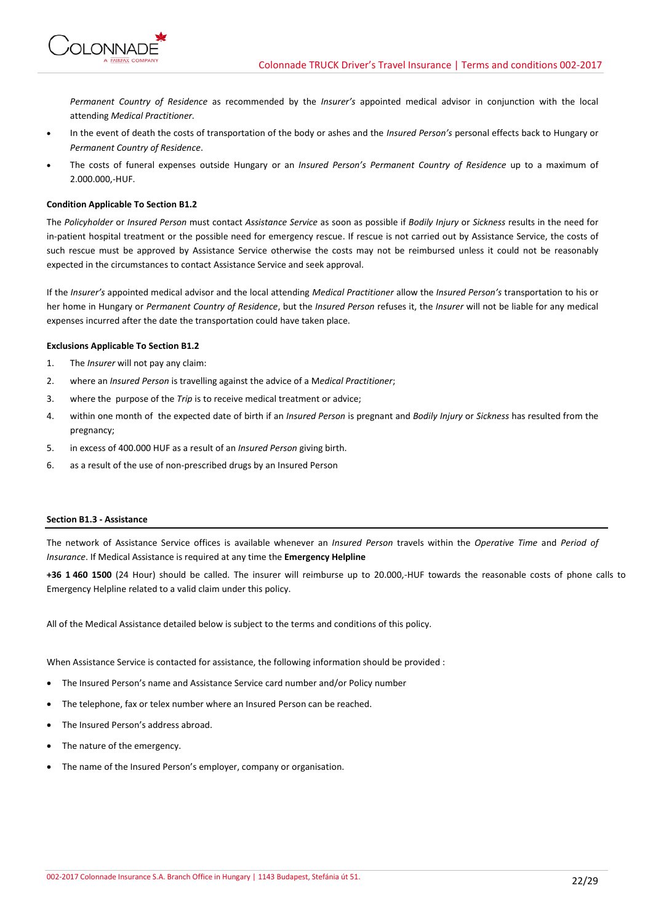

*Permanent Country of Residence* as recommended by the *Insurer's* appointed medical advisor in conjunction with the local attending *Medical Practitioner.*

- In the event of death the costs of transportation of the body or ashes and the *Insured Person's* personal effects back to Hungary or *Permanent Country of Residence*.
- The costs of funeral expenses outside Hungary or an *Insured Person's Permanent Country of Residence* up to a maximum of 2.000.000,-HUF.

# **Condition Applicable To Section B1.2**

The *Policyholder* or *Insured Person* must contact *Assistance Service* as soon as possible if *Bodily Injury* or *Sickness* results in the need for in-patient hospital treatment or the possible need for emergency rescue. If rescue is not carried out by Assistance Service, the costs of such rescue must be approved by Assistance Service otherwise the costs may not be reimbursed unless it could not be reasonably expected in the circumstances to contact Assistance Service and seek approval.

If the *Insurer's* appointed medical advisor and the local attending *Medical Practitioner* allow the *Insured Person's* transportation to his or her home in Hungary or *Permanent Country of Residence*, but the *Insured Person* refuses it, the *Insurer* will not be liable for any medical expenses incurred after the date the transportation could have taken place.

# **Exclusions Applicable To Section B1.2**

- 1. The *Insurer* will not pay any claim:
- 2. where an *Insured Person* is travelling against the advice of a M*edical Practitioner*;
- 3. where the purpose of the *Trip* is to receive medical treatment or advice;
- 4. within one month of the expected date of birth if an *Insured Person* is pregnant and *Bodily Injury* or *Sickness* has resulted from the pregnancy;
- 5. in excess of 400.000 HUF as a result of an *Insured Person* giving birth.
- 6. as a result of the use of non-prescribed drugs by an Insured Person

# **Section B1.3 - Assistance**

The network of Assistance Service offices is available whenever an *Insured Person* travels within the *Operative Time* and *Period of Insurance*. If Medical Assistance is required at any time the **Emergency Helpline**

**+36 1 460 1500** (24 Hour) should be called. The insurer will reimburse up to 20.000,-HUF towards the reasonable costs of phone calls to Emergency Helpline related to a valid claim under this policy.

All of the Medical Assistance detailed below is subject to the terms and conditions of this policy.

When Assistance Service is contacted for assistance, the following information should be provided :

- The Insured Person's name and Assistance Service card number and/or Policy number
- The telephone, fax or telex number where an Insured Person can be reached.
- The Insured Person's address abroad.
- The nature of the emergency.
- The name of the Insured Person's employer, company or organisation.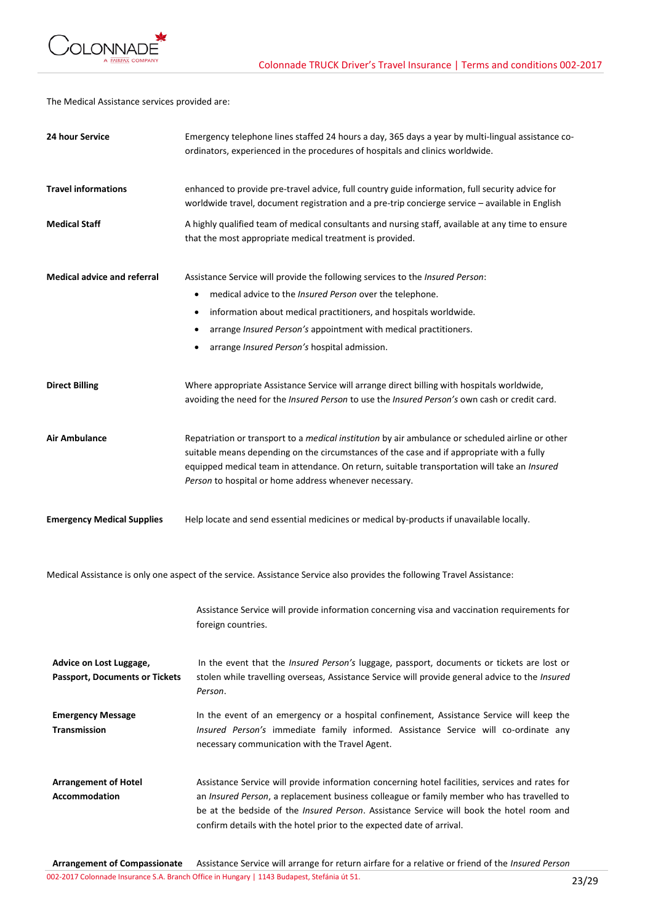

The Medical Assistance services provided are:

| 24 hour Service                                                  | Emergency telephone lines staffed 24 hours a day, 365 days a year by multi-lingual assistance co-<br>ordinators, experienced in the procedures of hospitals and clinics worldwide.                                                                                                                                                                                        |
|------------------------------------------------------------------|---------------------------------------------------------------------------------------------------------------------------------------------------------------------------------------------------------------------------------------------------------------------------------------------------------------------------------------------------------------------------|
| <b>Travel informations</b>                                       | enhanced to provide pre-travel advice, full country guide information, full security advice for<br>worldwide travel, document registration and a pre-trip concierge service - available in English                                                                                                                                                                        |
| <b>Medical Staff</b>                                             | A highly qualified team of medical consultants and nursing staff, available at any time to ensure<br>that the most appropriate medical treatment is provided.                                                                                                                                                                                                             |
| <b>Medical advice and referral</b>                               | Assistance Service will provide the following services to the Insured Person:<br>medical advice to the Insured Person over the telephone.<br>$\bullet$<br>information about medical practitioners, and hospitals worldwide.<br>$\bullet$<br>arrange Insured Person's appointment with medical practitioners.<br>arrange Insured Person's hospital admission.              |
| <b>Direct Billing</b>                                            | Where appropriate Assistance Service will arrange direct billing with hospitals worldwide,<br>avoiding the need for the Insured Person to use the Insured Person's own cash or credit card.                                                                                                                                                                               |
| <b>Air Ambulance</b>                                             | Repatriation or transport to a medical institution by air ambulance or scheduled airline or other<br>suitable means depending on the circumstances of the case and if appropriate with a fully<br>equipped medical team in attendance. On return, suitable transportation will take an Insured<br>Person to hospital or home address whenever necessary.                  |
| <b>Emergency Medical Supplies</b>                                | Help locate and send essential medicines or medical by-products if unavailable locally.                                                                                                                                                                                                                                                                                   |
|                                                                  | Medical Assistance is only one aspect of the service. Assistance Service also provides the following Travel Assistance:                                                                                                                                                                                                                                                   |
|                                                                  | Assistance Service will provide information concerning visa and vaccination requirements for<br>foreign countries.                                                                                                                                                                                                                                                        |
| Advice on Lost Luggage,<br><b>Passport, Documents or Tickets</b> | In the event that the <i>Insured Person's</i> luggage, passport, documents or tickets are lost or<br>stolen while travelling overseas, Assistance Service will provide general advice to the Insured<br>Person.                                                                                                                                                           |
| <b>Emergency Message</b><br><b>Transmission</b>                  | In the event of an emergency or a hospital confinement, Assistance Service will keep the<br>Insured Person's immediate family informed. Assistance Service will co-ordinate any<br>necessary communication with the Travel Agent.                                                                                                                                         |
| <b>Arrangement of Hotel</b><br><b>Accommodation</b>              | Assistance Service will provide information concerning hotel facilities, services and rates for<br>an Insured Person, a replacement business colleague or family member who has travelled to<br>be at the bedside of the <i>Insured Person</i> . Assistance Service will book the hotel room and<br>confirm details with the hotel prior to the expected date of arrival. |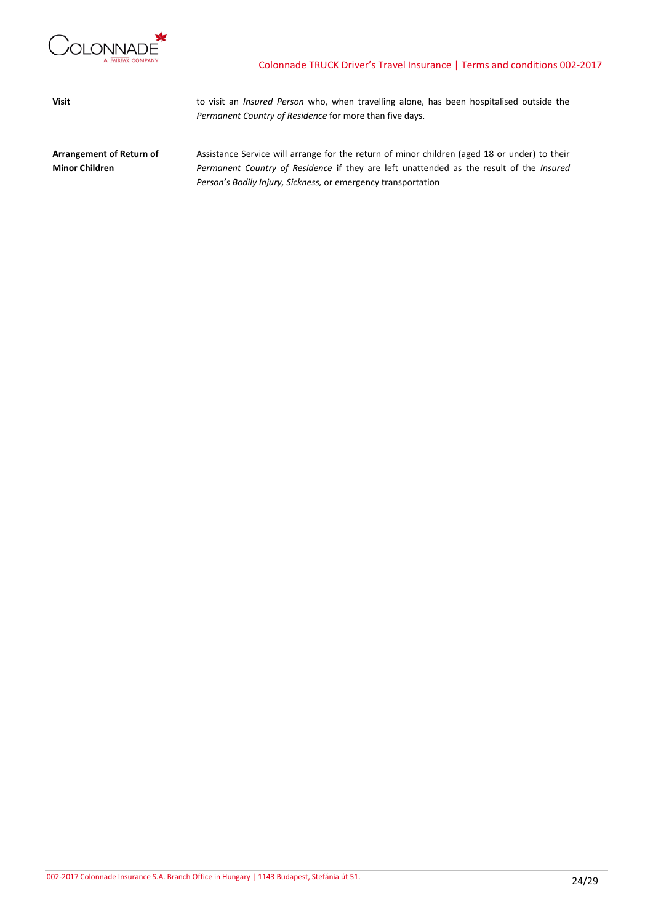

**Visit** to visit an *Insured Person* who, when travelling alone, has been hospitalised outside the *Permanent Country of Residence* for more than five days.

**Arrangement of Return of Minor Children** Assistance Service will arrange for the return of minor children (aged 18 or under) to their *Permanent Country of Residence* if they are left unattended as the result of the *Insured Person's Bodily Injury, Sickness,* or emergency transportation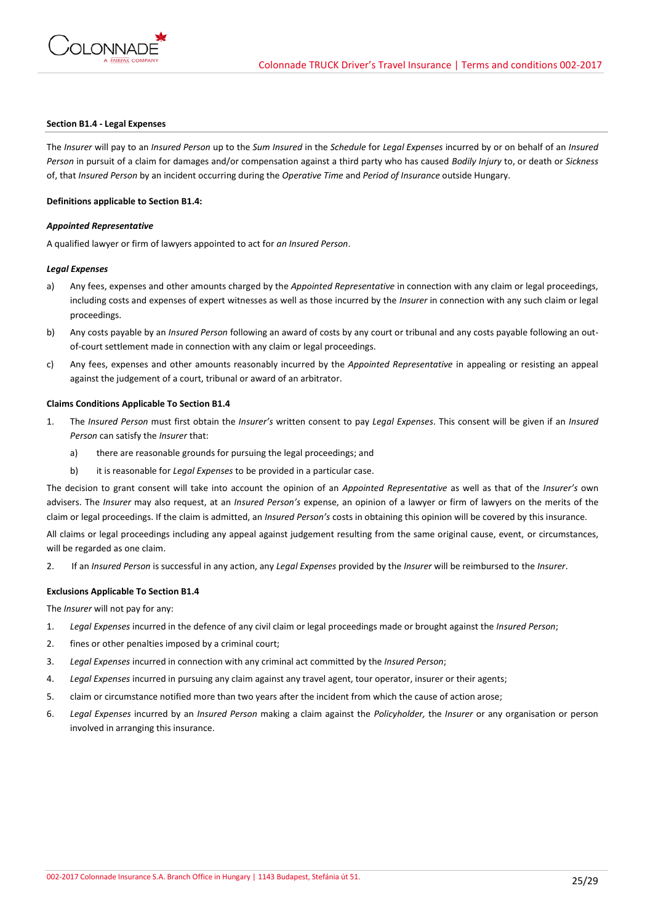

## **Section B1.4 - Legal Expenses**

The *Insurer* will pay to an *Insured Person* up to the *Sum Insured* in the *Schedule* for *Legal Expenses* incurred by or on behalf of an *Insured Person* in pursuit of a claim for damages and/or compensation against a third party who has caused *Bodily Injury* to, or death or *Sickness* of, that *Insured Person* by an incident occurring during the *Operative Time* and *Period of Insurance* outside Hungary.

### **Definitions applicable to Section B1.4:**

## *Appointed Representative*

A qualified lawyer or firm of lawyers appointed to act for *an Insured Person*.

## *Legal Expenses*

- a) Any fees, expenses and other amounts charged by the *Appointed Representative* in connection with any claim or legal proceedings, including costs and expenses of expert witnesses as well as those incurred by the *Insurer* in connection with any such claim or legal proceedings.
- b) Any costs payable by an *Insured Person* following an award of costs by any court or tribunal and any costs payable following an outof-court settlement made in connection with any claim or legal proceedings.
- c) Any fees, expenses and other amounts reasonably incurred by the *Appointed Representative* in appealing or resisting an appeal against the judgement of a court, tribunal or award of an arbitrator.

## **Claims Conditions Applicable To Section B1.4**

- 1. The *Insured Person* must first obtain the *Insurer's* written consent to pay *Legal Expenses*. This consent will be given if an *Insured Person* can satisfy the *Insurer* that:
	- a) there are reasonable grounds for pursuing the legal proceedings; and
	- b) it is reasonable for *Legal Expenses* to be provided in a particular case.

The decision to grant consent will take into account the opinion of an *Appointed Representative* as well as that of the *Insurer's* own advisers. The *Insurer* may also request, at an *Insured Person's* expense, an opinion of a lawyer or firm of lawyers on the merits of the claim or legal proceedings. If the claim is admitted, an *Insured Person's* costs in obtaining this opinion will be covered by this insurance.

All claims or legal proceedings including any appeal against judgement resulting from the same original cause, event, or circumstances, will be regarded as one claim.

2. If an *Insured Person* is successful in any action, any *Legal Expenses* provided by the *Insurer* will be reimbursed to the *Insurer*.

#### **Exclusions Applicable To Section B1.4**

The *Insurer* will not pay for any:

- 1. *Legal Expenses* incurred in the defence of any civil claim or legal proceedings made or brought against the *Insured Person*;
- 2. fines or other penalties imposed by a criminal court;
- 3. *Legal Expenses* incurred in connection with any criminal act committed by the *Insured Person*;
- 4. *Legal Expenses* incurred in pursuing any claim against any travel agent, tour operator, insurer or their agents;
- 5. claim or circumstance notified more than two years after the incident from which the cause of action arose;
- 6. *Legal Expenses* incurred by an *Insured Person* making a claim against the *Policyholder,* the *Insurer* or any organisation or person involved in arranging this insurance.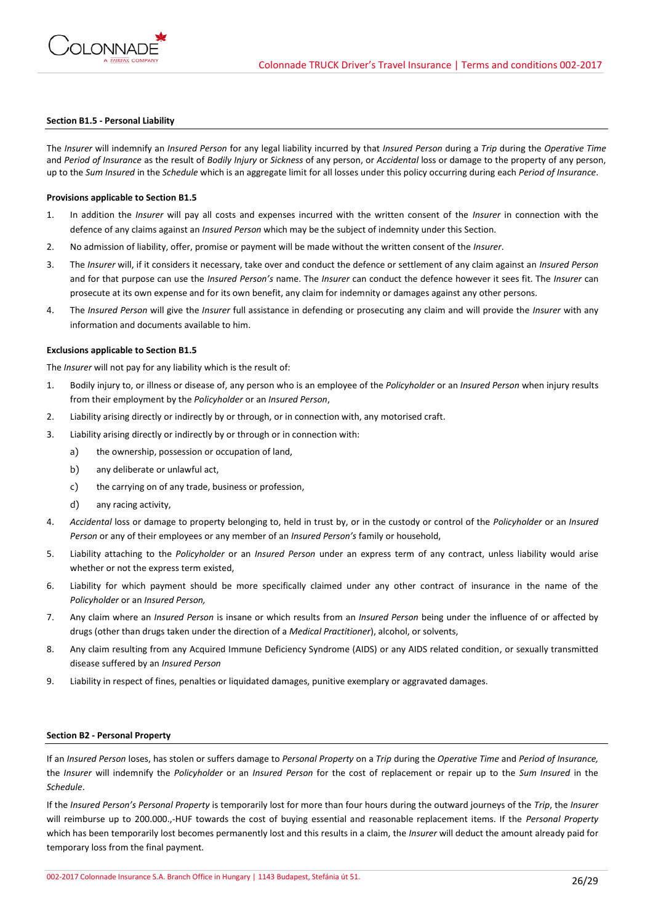

### **Section B1.5 - Personal Liability**

The *Insurer* will indemnify an *Insured Person* for any legal liability incurred by that *Insured Person* during a *Trip* during the *Operative Time*  and *Period of Insurance* as the result of *Bodily Injury* or *Sickness* of any person, or *Accidental* loss or damage to the property of any person, up to the *Sum Insured* in the *Schedule* which is an aggregate limit for all losses under this policy occurring during each *Period of Insurance*.

## **Provisions applicable to Section B1.5**

- 1. In addition the *Insurer* will pay all costs and expenses incurred with the written consent of the *Insurer* in connection with the defence of any claims against an *Insured Person* which may be the subject of indemnity under this Section.
- 2. No admission of liability, offer, promise or payment will be made without the written consent of the *Insurer*.
- 3. The *Insurer* will, if it considers it necessary, take over and conduct the defence or settlement of any claim against an *Insured Person* and for that purpose can use the *Insured Person's* name. The *Insurer* can conduct the defence however it sees fit. The *Insurer* can prosecute at its own expense and for its own benefit, any claim for indemnity or damages against any other persons.
- 4. The *Insured Person* will give the *Insurer* full assistance in defending or prosecuting any claim and will provide the *Insurer* with any information and documents available to him.

#### **Exclusions applicable to Section B1.5**

The *Insurer* will not pay for any liability which is the result of:

- 1. Bodily injury to, or illness or disease of, any person who is an employee of the *Policyholder* or an *Insured Person* when injury results from their employment by the *Policyholder* or an *Insured Person*,
- 2. Liability arising directly or indirectly by or through, or in connection with, any motorised craft.
- 3. Liability arising directly or indirectly by or through or in connection with:
	- a) the ownership, possession or occupation of land,
	- b) any deliberate or unlawful act,
	- c) the carrying on of any trade, business or profession,
	- d) any racing activity,
- 4. *Accidental* loss or damage to property belonging to, held in trust by, or in the custody or control of the *Policyholder* or an *Insured Person* or any of their employees or any member of an *Insured Person's* family or household,
- 5. Liability attaching to the *Policyholder* or an *Insured Person* under an express term of any contract, unless liability would arise whether or not the express term existed,
- 6. Liability for which payment should be more specifically claimed under any other contract of insurance in the name of the *Policyholder* or an *Insured Person,*
- 7. Any claim where an *Insured Person* is insane or which results from an *Insured Person* being under the influence of or affected by drugs (other than drugs taken under the direction of a *Medical Practitioner*), alcohol, or solvents,
- 8. Any claim resulting from any Acquired Immune Deficiency Syndrome (AIDS) or any AIDS related condition, or sexually transmitted disease suffered by an *Insured Person*
- 9. Liability in respect of fines, penalties or liquidated damages, punitive exemplary or aggravated damages.

### **Section B2 - Personal Property**

If an *Insured Person* loses, has stolen or suffers damage to *Personal Property* on a *Trip* during the *Operative Time* and *Period of Insurance,* the *Insurer* will indemnify the *Policyholder* or an *Insured Person* for the cost of replacement or repair up to the *Sum Insured* in the *Schedule*.

If the *Insured Person's Personal Property* is temporarily lost for more than four hours during the outward journeys of the *Trip*, the *Insurer* will reimburse up to 200.000.,-HUF towards the cost of buying essential and reasonable replacement items. If the *Personal Property* which has been temporarily lost becomes permanently lost and this results in a claim, the *Insurer* will deduct the amount already paid for temporary loss from the final payment.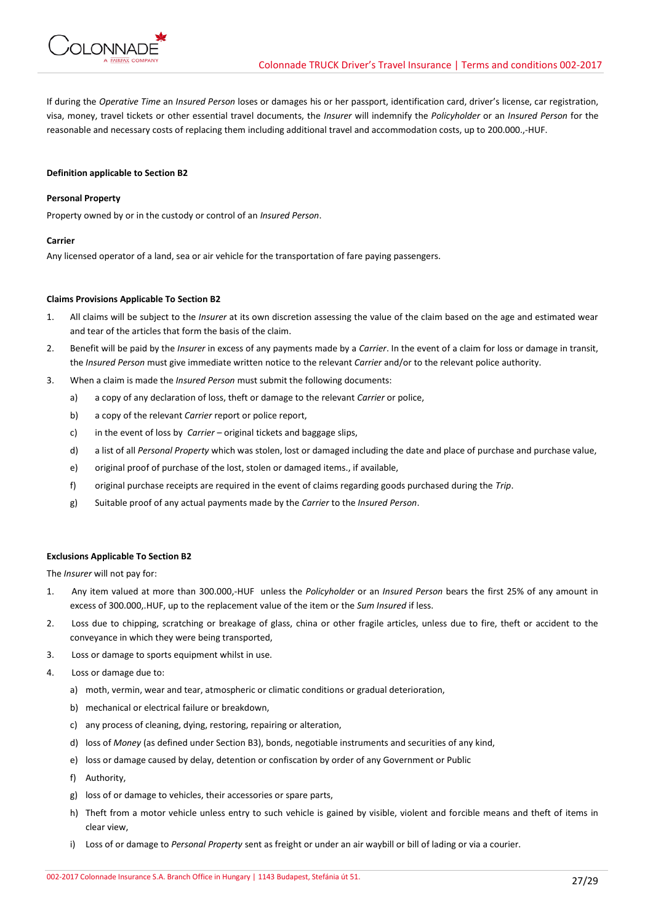

If during the *Operative Time* an *Insured Person* loses or damages his or her passport, identification card, driver's license, car registration, visa, money, travel tickets or other essential travel documents, the *Insurer* will indemnify the *Policyholder* or an *Insured Person* for the reasonable and necessary costs of replacing them including additional travel and accommodation costs, up to 200.000.,-HUF.

## **Definition applicable to Section B2**

# **Personal Property**

Property owned by or in the custody or control of an *Insured Person*.

## **Carrier**

Any licensed operator of a land, sea or air vehicle for the transportation of fare paying passengers.

## **Claims Provisions Applicable To Section B2**

- 1. All claims will be subject to the *Insurer* at its own discretion assessing the value of the claim based on the age and estimated wear and tear of the articles that form the basis of the claim.
- 2. Benefit will be paid by the *Insurer* in excess of any payments made by a *Carrier*. In the event of a claim for loss or damage in transit, the *Insured Person* must give immediate written notice to the relevant *Carrier* and/or to the relevant police authority.
- 3. When a claim is made the *Insured Person* must submit the following documents:
	- a) a copy of any declaration of loss, theft or damage to the relevant *Carrier* or police,
	- b) a copy of the relevant *Carrier* report or police report,
	- c) in the event of loss by *Carrier*  original tickets and baggage slips,
	- d) a list of all *Personal Property* which was stolen, lost or damaged including the date and place of purchase and purchase value,
	- e) original proof of purchase of the lost, stolen or damaged items., if available,
	- f) original purchase receipts are required in the event of claims regarding goods purchased during the *Trip*.
	- g) Suitable proof of any actual payments made by the *Carrier* to the *Insured Person*.

## **Exclusions Applicable To Section B2**

The *Insurer* will not pay for:

- 1. Any item valued at more than 300.000,-HUF unless the *Policyholder* or an *Insured Person* bears the first 25% of any amount in excess of 300.000,.HUF, up to the replacement value of the item or the *Sum Insured* if less.
- 2. Loss due to chipping, scratching or breakage of glass, china or other fragile articles, unless due to fire, theft or accident to the conveyance in which they were being transported,
- 3. Loss or damage to sports equipment whilst in use.
- 4. Loss or damage due to:
	- a) moth, vermin, wear and tear, atmospheric or climatic conditions or gradual deterioration,
	- b) mechanical or electrical failure or breakdown,
	- c) any process of cleaning, dying, restoring, repairing or alteration,
	- d) loss of *Money* (as defined under Section B3), bonds, negotiable instruments and securities of any kind,
	- e) loss or damage caused by delay, detention or confiscation by order of any Government or Public
	- f) Authority,
	- g) loss of or damage to vehicles, their accessories or spare parts,
	- h) Theft from a motor vehicle unless entry to such vehicle is gained by visible, violent and forcible means and theft of items in clear view,
	- i) Loss of or damage to *Personal Property* sent as freight or under an air waybill or bill of lading or via a courier.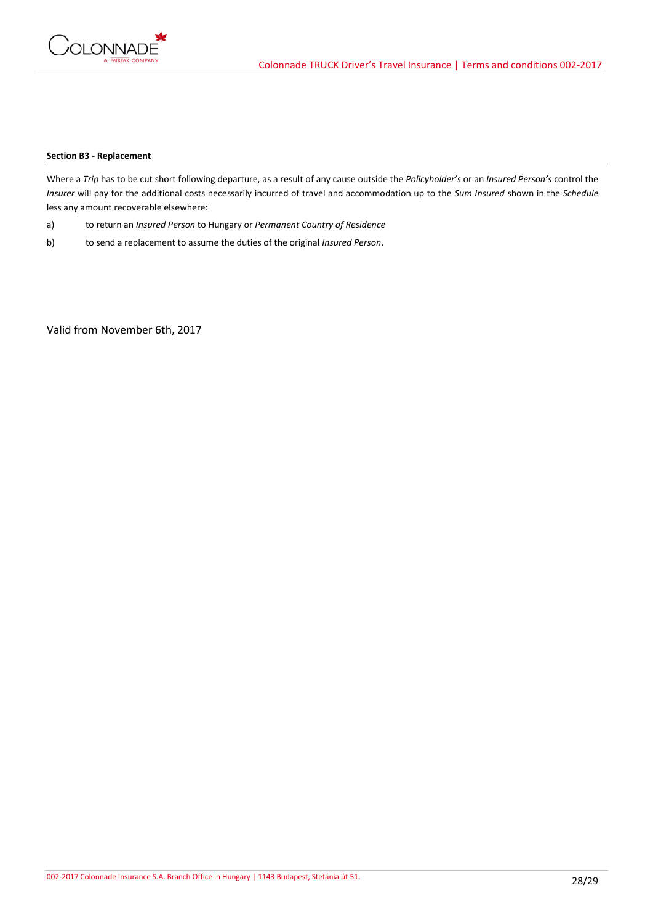

# **Section B3 - Replacement**

Where a *Trip* has to be cut short following departure, as a result of any cause outside the *Policyholder's* or an *Insured Person's* control the *Insurer* will pay for the additional costs necessarily incurred of travel and accommodation up to the *Sum Insured* shown in the *Schedule* less any amount recoverable elsewhere:

- a) to return an *Insured Person* to Hungary or *Permanent Country of Residence*
- b) to send a replacement to assume the duties of the original *Insured Person*.

Valid from November 6th, 2017